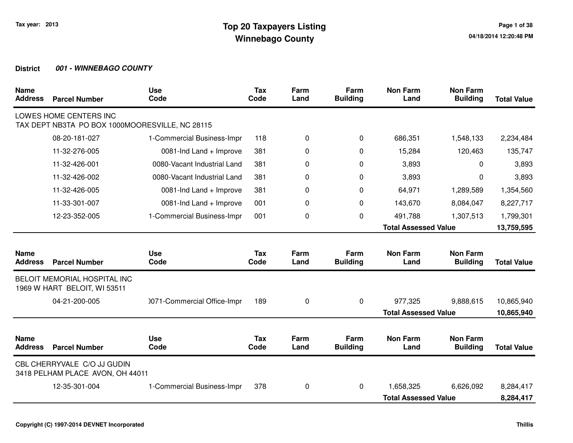| <b>Name</b><br><b>Address</b> | <b>Parcel Number</b>                                            | <b>Use</b><br>Code          | <b>Tax</b><br>Code | Farm<br>Land | Farm<br><b>Building</b> | <b>Non Farm</b><br>Land     | <b>Non Farm</b><br><b>Building</b> | <b>Total Value</b> |
|-------------------------------|-----------------------------------------------------------------|-----------------------------|--------------------|--------------|-------------------------|-----------------------------|------------------------------------|--------------------|
|                               | LOWES HOME CENTERS INC                                          |                             |                    |              |                         |                             |                                    |                    |
|                               | TAX DEPT NB3TA PO BOX 1000MOORESVILLE, NC 28115                 |                             |                    |              |                         |                             |                                    |                    |
|                               | 08-20-181-027                                                   | 1-Commercial Business-Impr  | 118                | 0            | 0                       | 686,351                     | 1,548,133                          | 2,234,484          |
|                               | 11-32-276-005                                                   | 0081-Ind Land + Improve     | 381                | 0            | 0                       | 15,284                      | 120,463                            | 135,747            |
|                               | 11-32-426-001                                                   | 0080-Vacant Industrial Land | 381                | 0            | 0                       | 3,893                       | 0                                  | 3,893              |
|                               | 11-32-426-002                                                   | 0080-Vacant Industrial Land | 381                | 0            | 0                       | 3,893                       | 0                                  | 3,893              |
|                               | 11-32-426-005                                                   | 0081-Ind Land + Improve     | 381                | 0            | 0                       | 64,971                      | 1,289,589                          | 1,354,560          |
|                               | 11-33-301-007                                                   | 0081-Ind Land + Improve     | 001                | 0            | 0                       | 143,670                     | 8,084,047                          | 8,227,717          |
|                               | 12-23-352-005                                                   | 1-Commercial Business-Impr  | 001                | 0            | 0                       | 491,788                     | 1,307,513                          | 1,799,301          |
|                               |                                                                 |                             |                    |              |                         | <b>Total Assessed Value</b> |                                    | 13,759,595         |
|                               |                                                                 |                             |                    |              |                         |                             |                                    |                    |
| <b>Name</b><br><b>Address</b> | <b>Parcel Number</b>                                            | <b>Use</b><br>Code          | <b>Tax</b><br>Code | Farm<br>Land | Farm<br><b>Building</b> | <b>Non Farm</b><br>Land     | <b>Non Farm</b><br><b>Building</b> | <b>Total Value</b> |
|                               | BELOIT MEMORIAL HOSPITAL INC<br>1969 W HART BELOIT, WI 53511    |                             |                    |              |                         |                             |                                    |                    |
|                               | 04-21-200-005                                                   | 0071-Commercial Office-Impr | 189                | 0            | 0                       | 977,325                     | 9,888,615                          | 10,865,940         |
|                               |                                                                 |                             |                    |              |                         | <b>Total Assessed Value</b> |                                    | 10,865,940         |
|                               |                                                                 |                             |                    |              |                         |                             |                                    |                    |
| <b>Name</b><br><b>Address</b> | <b>Parcel Number</b>                                            | <b>Use</b><br>Code          | <b>Tax</b><br>Code | Farm<br>Land | Farm<br><b>Building</b> | <b>Non Farm</b><br>Land     | <b>Non Farm</b><br><b>Building</b> | <b>Total Value</b> |
|                               | CBL CHERRYVALE C/O JJ GUDIN<br>3418 PELHAM PLACE AVON, OH 44011 |                             |                    |              |                         |                             |                                    |                    |
|                               | 12-35-301-004                                                   | 1-Commercial Business-Impr  | 378                | 0            | $\Omega$                | 1,658,325                   | 6,626,092                          | 8,284,417          |
|                               |                                                                 |                             |                    |              |                         | <b>Total Assessed Value</b> |                                    | 8,284,417          |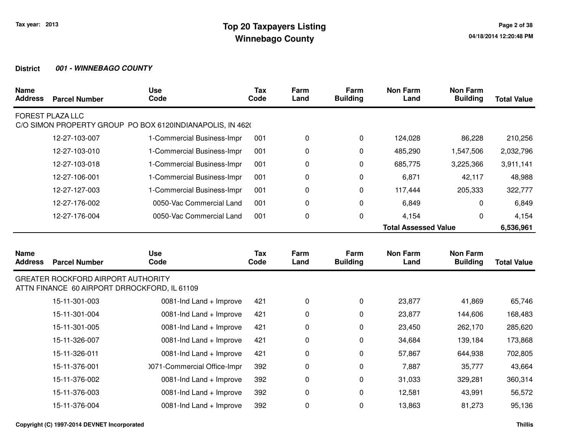| <b>Name</b><br><b>Address</b> | <b>Parcel Number</b>                                                                      | <b>Use</b><br>Code                                        | <b>Tax</b><br>Code | Farm<br>Land | Farm<br><b>Building</b> | <b>Non Farm</b><br>Land     | <b>Non Farm</b><br><b>Building</b> | <b>Total Value</b> |
|-------------------------------|-------------------------------------------------------------------------------------------|-----------------------------------------------------------|--------------------|--------------|-------------------------|-----------------------------|------------------------------------|--------------------|
|                               | <b>FOREST PLAZA LLC</b>                                                                   | C/O SIMON PROPERTY GROUP PO BOX 6120INDIANAPOLIS, IN 4620 |                    |              |                         |                             |                                    |                    |
|                               | 12-27-103-007                                                                             | 1-Commercial Business-Impr                                | 001                | 0            | 0                       | 124,028                     | 86,228                             | 210,256            |
|                               | 12-27-103-010                                                                             | 1-Commercial Business-Impr                                | 001                | 0            | 0                       | 485,290                     | 1,547,506                          | 2,032,796          |
|                               | 12-27-103-018                                                                             | 1-Commercial Business-Impr                                | 001                | 0            | 0                       | 685,775                     | 3,225,366                          | 3,911,141          |
|                               | 12-27-106-001                                                                             | 1-Commercial Business-Impr                                | 001                | 0            | 0                       | 6,871                       | 42,117                             | 48,988             |
|                               | 12-27-127-003                                                                             | 1-Commercial Business-Impr                                | 001                | 0            | 0                       | 117,444                     | 205,333                            | 322,777            |
|                               | 12-27-176-002                                                                             | 0050-Vac Commercial Land                                  | 001                | 0            | 0                       | 6,849                       | $\Omega$                           | 6,849              |
|                               | 12-27-176-004                                                                             | 0050-Vac Commercial Land                                  | 001                | 0            | 0                       | 4,154                       | 0                                  | 4,154              |
|                               |                                                                                           |                                                           |                    |              |                         | <b>Total Assessed Value</b> |                                    | 6,536,961          |
| <b>Name</b><br><b>Address</b> | <b>Parcel Number</b>                                                                      | <b>Use</b><br>Code                                        | <b>Tax</b><br>Code | Farm<br>Land | Farm<br><b>Building</b> | <b>Non Farm</b><br>Land     | <b>Non Farm</b><br><b>Building</b> | <b>Total Value</b> |
|                               | <b>GREATER ROCKFORD AIRPORT AUTHORITY</b><br>ATTN FINANCE 60 AIRPORT DRROCKFORD, IL 61109 |                                                           |                    |              |                         |                             |                                    |                    |
|                               | 15-11-301-003                                                                             | 0081-Ind Land + Improve                                   | 421                | 0            | 0                       | 23,877                      | 41,869                             | 65,746             |
|                               | 15-11-301-004                                                                             |                                                           |                    |              |                         |                             |                                    |                    |
|                               |                                                                                           | 0081-Ind Land + Improve                                   | 421                | 0            | 0                       | 23,877                      | 144,606                            | 168,483            |
|                               | 15-11-301-005                                                                             | 0081-Ind Land + Improve                                   | 421                | 0            | 0                       | 23,450                      | 262,170                            | 285,620            |
|                               | 15-11-326-007                                                                             | 0081-Ind Land + Improve                                   | 421                | 0            | 0                       | 34,684                      | 139,184                            | 173,868            |
|                               | 15-11-326-011                                                                             | 0081-Ind Land + Improve                                   | 421                | 0            | 0                       | 57,867                      | 644,938                            | 702,805            |
|                               | 15-11-376-001                                                                             | 0071-Commercial Office-Impr                               | 392                | 0            | 0                       | 7,887                       | 35,777                             | 43,664             |
|                               | 15-11-376-002                                                                             | 0081-Ind Land + Improve                                   | 392                | 0            | 0                       | 31,033                      | 329,281                            | 360,314            |
|                               | 15-11-376-003                                                                             | 0081-Ind Land + Improve                                   | 392                | 0            | 0                       | 12,581                      | 43,991                             | 56,572             |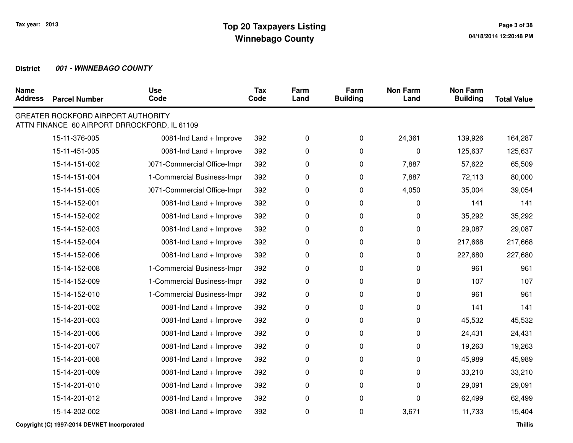| <b>Name</b><br><b>Address</b> | <b>Parcel Number</b>                      | <b>Use</b><br>Code                           | <b>Tax</b><br>Code | Farm<br>Land | Farm<br><b>Building</b> | <b>Non Farm</b><br>Land | <b>Non Farm</b><br><b>Building</b> | <b>Total Value</b> |
|-------------------------------|-------------------------------------------|----------------------------------------------|--------------------|--------------|-------------------------|-------------------------|------------------------------------|--------------------|
|                               | <b>GREATER ROCKFORD AIRPORT AUTHORITY</b> | ATTN FINANCE 60 AIRPORT DRROCKFORD, IL 61109 |                    |              |                         |                         |                                    |                    |
|                               | 15-11-376-005                             | 0081-Ind Land + Improve                      | 392                | 0            | 0                       | 24,361                  | 139,926                            | 164,287            |
|                               | 15-11-451-005                             | 0081-Ind Land + Improve                      | 392                | 0            | 0                       | 0                       | 125,637                            | 125,637            |
|                               | 15-14-151-002                             | 0071-Commercial Office-Impr                  | 392                | 0            | 0                       | 7,887                   | 57,622                             | 65,509             |
|                               | 15-14-151-004                             | 1-Commercial Business-Impr                   | 392                | 0            | 0                       | 7,887                   | 72,113                             | 80,000             |
|                               | 15-14-151-005                             | 0071-Commercial Office-Impr                  | 392                | 0            | 0                       | 4,050                   | 35,004                             | 39,054             |
|                               | 15-14-152-001                             | 0081-Ind Land + Improve                      | 392                | 0            | 0                       | 0                       | 141                                | 141                |
|                               | 15-14-152-002                             | 0081-Ind Land + Improve                      | 392                | 0            | 0                       | 0                       | 35,292                             | 35,292             |
|                               | 15-14-152-003                             | 0081-Ind Land + Improve                      | 392                | 0            | 0                       | 0                       | 29,087                             | 29,087             |
|                               | 15-14-152-004                             | 0081-Ind Land + Improve                      | 392                | 0            | 0                       | 0                       | 217,668                            | 217,668            |
|                               | 15-14-152-006                             | 0081-Ind Land + Improve                      | 392                | 0            | 0                       | 0                       | 227,680                            | 227,680            |
|                               | 15-14-152-008                             | 1-Commercial Business-Impr                   | 392                | 0            | 0                       | 0                       | 961                                | 961                |
|                               | 15-14-152-009                             | 1-Commercial Business-Impr                   | 392                | 0            | 0                       | 0                       | 107                                | 107                |
|                               | 15-14-152-010                             | 1-Commercial Business-Impr                   | 392                | 0            | 0                       | 0                       | 961                                | 961                |
|                               | 15-14-201-002                             | 0081-Ind Land + Improve                      | 392                | 0            | 0                       | 0                       | 141                                | 141                |
|                               | 15-14-201-003                             | 0081-Ind Land + Improve                      | 392                | 0            | 0                       | 0                       | 45,532                             | 45,532             |
|                               | 15-14-201-006                             | 0081-Ind Land + Improve                      | 392                | 0            | 0                       | 0                       | 24,431                             | 24,431             |
|                               | 15-14-201-007                             | 0081-Ind Land + Improve                      | 392                | 0            | 0                       | 0                       | 19,263                             | 19,263             |
|                               | 15-14-201-008                             | 0081-Ind Land + Improve                      | 392                | 0            | 0                       | 0                       | 45,989                             | 45,989             |
|                               | 15-14-201-009                             | 0081-Ind Land + Improve                      | 392                | 0            | 0                       | 0                       | 33,210                             | 33,210             |
|                               | 15-14-201-010                             | 0081-Ind Land + Improve                      | 392                | 0            | 0                       | 0                       | 29,091                             | 29,091             |
|                               | 15-14-201-012                             | 0081-Ind Land + Improve                      | 392                | 0            | 0                       | 0                       | 62,499                             | 62,499             |
|                               | 15-14-202-002                             | 0081-Ind Land + Improve                      | 392                | 0            | 0                       | 3,671                   | 11,733                             | 15,404             |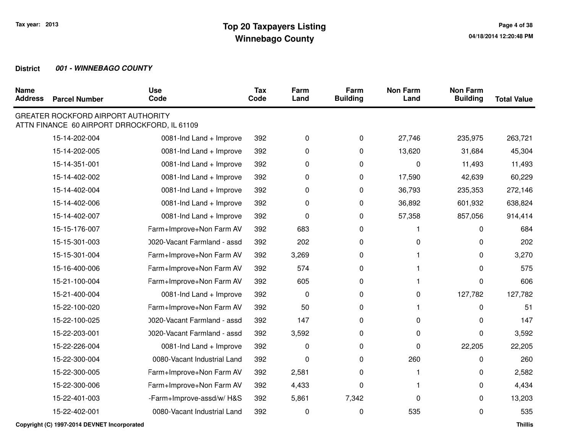| <b>Name</b><br><b>Address</b> | <b>Parcel Number</b>                      | <b>Use</b><br>Code                           | <b>Tax</b><br>Code | Farm<br>Land | Farm<br><b>Building</b> | <b>Non Farm</b><br>Land | <b>Non Farm</b><br><b>Building</b> | <b>Total Value</b> |
|-------------------------------|-------------------------------------------|----------------------------------------------|--------------------|--------------|-------------------------|-------------------------|------------------------------------|--------------------|
|                               | <b>GREATER ROCKFORD AIRPORT AUTHORITY</b> | ATTN FINANCE 60 AIRPORT DRROCKFORD, IL 61109 |                    |              |                         |                         |                                    |                    |
|                               | 15-14-202-004                             | 0081-Ind Land + Improve                      | 392                | 0            | 0                       | 27,746                  | 235,975                            | 263,721            |
|                               | 15-14-202-005                             | 0081-Ind Land + Improve                      | 392                | 0            | 0                       | 13,620                  | 31,684                             | 45,304             |
|                               | 15-14-351-001                             | 0081-Ind Land + Improve                      | 392                | 0            | 0                       | 0                       | 11,493                             | 11,493             |
|                               | 15-14-402-002                             | 0081-Ind Land + Improve                      | 392                | 0            | 0                       | 17,590                  | 42,639                             | 60,229             |
|                               | 15-14-402-004                             | 0081-Ind Land + Improve                      | 392                | 0            | 0                       | 36,793                  | 235,353                            | 272,146            |
|                               | 15-14-402-006                             | 0081-Ind Land + Improve                      | 392                | 0            | 0                       | 36,892                  | 601,932                            | 638,824            |
|                               | 15-14-402-007                             | 0081-Ind Land + Improve                      | 392                | 0            | 0                       | 57,358                  | 857,056                            | 914,414            |
|                               | 15-15-176-007                             | Farm+Improve+Non Farm AV                     | 392                | 683          | 0                       |                         | 0                                  | 684                |
|                               | 15-15-301-003                             | 0020-Vacant Farmland - assd                  | 392                | 202          | 0                       | 0                       | 0                                  | 202                |
|                               | 15-15-301-004                             | Farm+Improve+Non Farm AV                     | 392                | 3,269        | 0                       |                         | 0                                  | 3,270              |
|                               | 15-16-400-006                             | Farm+Improve+Non Farm AV                     | 392                | 574          | 0                       |                         | 0                                  | 575                |
|                               | 15-21-100-004                             | Farm+Improve+Non Farm AV                     | 392                | 605          | 0                       |                         | 0                                  | 606                |
|                               | 15-21-400-004                             | 0081-Ind Land + Improve                      | 392                | 0            | 0                       | 0                       | 127,782                            | 127,782            |
|                               | 15-22-100-020                             | Farm+Improve+Non Farm AV                     | 392                | 50           | 0                       |                         | 0                                  | 51                 |
|                               | 15-22-100-025                             | 0020-Vacant Farmland - assd                  | 392                | 147          | 0                       | 0                       | 0                                  | 147                |
|                               | 15-22-203-001                             | 0020-Vacant Farmland - assd                  | 392                | 3,592        | 0                       | 0                       | 0                                  | 3,592              |
|                               | 15-22-226-004                             | 0081-Ind Land + Improve                      | 392                | 0            | 0                       | 0                       | 22,205                             | 22,205             |
|                               | 15-22-300-004                             | 0080-Vacant Industrial Land                  | 392                | 0            | 0                       | 260                     | 0                                  | 260                |
|                               | 15-22-300-005                             | Farm+Improve+Non Farm AV                     | 392                | 2,581        | 0                       | 1                       | 0                                  | 2,582              |
|                               | 15-22-300-006                             | Farm+Improve+Non Farm AV                     | 392                | 4,433        | 0                       | 1                       | 0                                  | 4,434              |
|                               | 15-22-401-003                             | -Farm+Improve-assd/w/H&S                     | 392                | 5,861        | 7,342                   | 0                       | 0                                  | 13,203             |
|                               | 15-22-402-001                             | 0080-Vacant Industrial Land                  | 392                | 0            | 0                       | 535                     | 0                                  | 535                |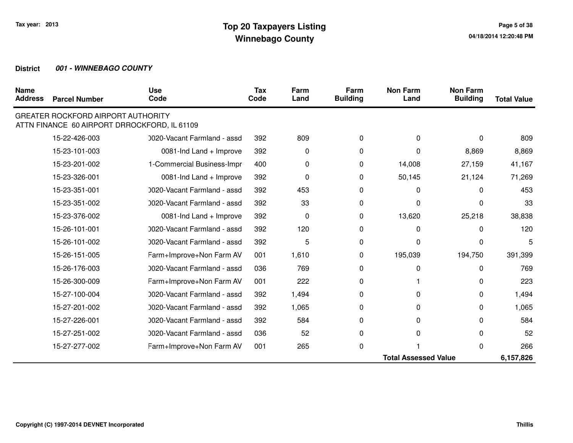| <b>Name</b><br><b>Address</b> | <b>Parcel Number</b>                      | <b>Use</b><br>Code                           | <b>Tax</b><br>Code | Farm<br>Land | Farm<br><b>Building</b> | <b>Non Farm</b><br>Land     | <b>Non Farm</b><br><b>Building</b> | <b>Total Value</b> |
|-------------------------------|-------------------------------------------|----------------------------------------------|--------------------|--------------|-------------------------|-----------------------------|------------------------------------|--------------------|
|                               | <b>GREATER ROCKFORD AIRPORT AUTHORITY</b> | ATTN FINANCE 60 AIRPORT DRROCKFORD, IL 61109 |                    |              |                         |                             |                                    |                    |
|                               | 15-22-426-003                             | 0020-Vacant Farmland - assd                  | 392                | 809          | 0                       | 0                           | $\Omega$                           | 809                |
|                               | 15-23-101-003                             | 0081-Ind Land + Improve                      | 392                | 0            | 0                       | 0                           | 8,869                              | 8,869              |
|                               | 15-23-201-002                             | 1-Commercial Business-Impr                   | 400                | 0            | 0                       | 14,008                      | 27,159                             | 41,167             |
|                               | 15-23-326-001                             | 0081-Ind Land + Improve                      | 392                | 0            | 0                       | 50,145                      | 21,124                             | 71,269             |
|                               | 15-23-351-001                             | 0020-Vacant Farmland - assd                  | 392                | 453          | $\Omega$                | 0                           | 0                                  | 453                |
|                               | 15-23-351-002                             | 0020-Vacant Farmland - assd                  | 392                | 33           | 0                       | 0                           | 0                                  | 33                 |
|                               | 15-23-376-002                             | 0081-Ind Land + Improve                      | 392                | 0            | 0                       | 13,620                      | 25,218                             | 38,838             |
|                               | 15-26-101-001                             | 0020-Vacant Farmland - assd                  | 392                | 120          | 0                       | 0                           | 0                                  | 120                |
|                               | 15-26-101-002                             | 0020-Vacant Farmland - assd                  | 392                | 5            | 0                       | 0                           | 0                                  | 5                  |
|                               | 15-26-151-005                             | Farm+Improve+Non Farm AV                     | 001                | 1,610        | 0                       | 195,039                     | 194,750                            | 391,399            |
|                               | 15-26-176-003                             | 0020-Vacant Farmland - assd                  | 036                | 769          | $\Omega$                | 0                           | 0                                  | 769                |
|                               | 15-26-300-009                             | Farm+Improve+Non Farm AV                     | 001                | 222          | 0                       |                             | 0                                  | 223                |
|                               | 15-27-100-004                             | 0020-Vacant Farmland - assd                  | 392                | 1,494        | 0                       | 0                           | 0                                  | 1,494              |
|                               | 15-27-201-002                             | 0020-Vacant Farmland - assd                  | 392                | 1,065        | 0                       | 0                           | 0                                  | 1,065              |
|                               | 15-27-226-001                             | 0020-Vacant Farmland - assd                  | 392                | 584          | 0                       | 0                           | 0                                  | 584                |
|                               | 15-27-251-002                             | 0020-Vacant Farmland - assd                  | 036                | 52           | 0                       | 0                           | 0                                  | 52                 |
|                               | 15-27-277-002                             | Farm+Improve+Non Farm AV                     | 001                | 265          | 0                       |                             | 0                                  | 266                |
|                               |                                           |                                              |                    |              |                         | <b>Total Assessed Value</b> |                                    | 6,157,826          |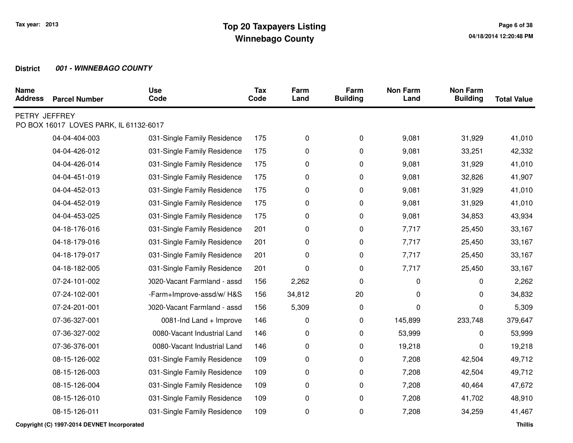| <b>Name</b><br><b>Address</b> | <b>Parcel Number</b>                                                                                                                                                                                                                       | <b>Use</b><br>Code                                                                                                                                                                                                                                                                                                                                                                                                                      | <b>Tax</b><br>Code                                                                             | Farm<br>Land                                                                    | Farm<br><b>Building</b>                                                       | <b>Non Farm</b><br>Land                                                                                            | <b>Non Farm</b><br><b>Building</b>                                                                               | <b>Total Value</b> |
|-------------------------------|--------------------------------------------------------------------------------------------------------------------------------------------------------------------------------------------------------------------------------------------|-----------------------------------------------------------------------------------------------------------------------------------------------------------------------------------------------------------------------------------------------------------------------------------------------------------------------------------------------------------------------------------------------------------------------------------------|------------------------------------------------------------------------------------------------|---------------------------------------------------------------------------------|-------------------------------------------------------------------------------|--------------------------------------------------------------------------------------------------------------------|------------------------------------------------------------------------------------------------------------------|--------------------|
| PETRY JEFFREY                 | PO BOX 16017 LOVES PARK, IL 61132-6017                                                                                                                                                                                                     |                                                                                                                                                                                                                                                                                                                                                                                                                                         |                                                                                                |                                                                                 |                                                                               |                                                                                                                    |                                                                                                                  |                    |
|                               | 04-04-404-003                                                                                                                                                                                                                              | 031-Single Family Residence                                                                                                                                                                                                                                                                                                                                                                                                             | 175                                                                                            | 0                                                                               | 0                                                                             | 9,081                                                                                                              | 31,929                                                                                                           | 41,010             |
|                               | 04-04-426-012                                                                                                                                                                                                                              | 031-Single Family Residence                                                                                                                                                                                                                                                                                                                                                                                                             | 175                                                                                            | 0                                                                               | 0                                                                             | 9,081                                                                                                              | 33,251                                                                                                           | 42,332             |
|                               | 04-04-426-014                                                                                                                                                                                                                              | 031-Single Family Residence                                                                                                                                                                                                                                                                                                                                                                                                             | 175                                                                                            | 0                                                                               | 0                                                                             | 9,081                                                                                                              | 31,929                                                                                                           | 41,010             |
|                               | 04-04-451-019                                                                                                                                                                                                                              | 031-Single Family Residence                                                                                                                                                                                                                                                                                                                                                                                                             | 175                                                                                            | 0                                                                               | 0                                                                             | 9,081                                                                                                              | 32,826                                                                                                           | 41,907             |
|                               | 04-04-452-013                                                                                                                                                                                                                              | 031-Single Family Residence                                                                                                                                                                                                                                                                                                                                                                                                             | 175                                                                                            | 0                                                                               | 0                                                                             | 9,081                                                                                                              | 31,929                                                                                                           | 41,010             |
|                               | 04-04-452-019                                                                                                                                                                                                                              | 031-Single Family Residence                                                                                                                                                                                                                                                                                                                                                                                                             | 175                                                                                            | 0                                                                               | 0                                                                             | 9,081                                                                                                              | 31,929                                                                                                           | 41,010             |
|                               | 04-04-453-025                                                                                                                                                                                                                              | 031-Single Family Residence                                                                                                                                                                                                                                                                                                                                                                                                             | 175                                                                                            | 0                                                                               | 0                                                                             | 9,081                                                                                                              | 34,853                                                                                                           | 43,934             |
|                               | 04-18-176-016                                                                                                                                                                                                                              | 031-Single Family Residence                                                                                                                                                                                                                                                                                                                                                                                                             | 201                                                                                            | 0                                                                               | 0                                                                             | 7,717                                                                                                              | 25,450                                                                                                           | 33,167             |
|                               |                                                                                                                                                                                                                                            |                                                                                                                                                                                                                                                                                                                                                                                                                                         |                                                                                                |                                                                                 |                                                                               |                                                                                                                    |                                                                                                                  | 33,167             |
|                               |                                                                                                                                                                                                                                            |                                                                                                                                                                                                                                                                                                                                                                                                                                         |                                                                                                |                                                                                 |                                                                               |                                                                                                                    |                                                                                                                  | 33,167             |
|                               |                                                                                                                                                                                                                                            |                                                                                                                                                                                                                                                                                                                                                                                                                                         |                                                                                                |                                                                                 |                                                                               |                                                                                                                    |                                                                                                                  | 33,167             |
|                               |                                                                                                                                                                                                                                            |                                                                                                                                                                                                                                                                                                                                                                                                                                         |                                                                                                |                                                                                 |                                                                               |                                                                                                                    |                                                                                                                  | 2,262              |
|                               |                                                                                                                                                                                                                                            |                                                                                                                                                                                                                                                                                                                                                                                                                                         |                                                                                                |                                                                                 |                                                                               |                                                                                                                    |                                                                                                                  | 34,832             |
|                               |                                                                                                                                                                                                                                            |                                                                                                                                                                                                                                                                                                                                                                                                                                         |                                                                                                |                                                                                 |                                                                               |                                                                                                                    |                                                                                                                  | 5,309              |
|                               |                                                                                                                                                                                                                                            |                                                                                                                                                                                                                                                                                                                                                                                                                                         |                                                                                                |                                                                                 |                                                                               |                                                                                                                    |                                                                                                                  | 379,647            |
|                               |                                                                                                                                                                                                                                            |                                                                                                                                                                                                                                                                                                                                                                                                                                         |                                                                                                |                                                                                 |                                                                               |                                                                                                                    |                                                                                                                  | 53,999             |
|                               |                                                                                                                                                                                                                                            |                                                                                                                                                                                                                                                                                                                                                                                                                                         |                                                                                                |                                                                                 |                                                                               |                                                                                                                    |                                                                                                                  | 19,218             |
|                               |                                                                                                                                                                                                                                            |                                                                                                                                                                                                                                                                                                                                                                                                                                         |                                                                                                |                                                                                 |                                                                               |                                                                                                                    |                                                                                                                  | 49,712             |
|                               |                                                                                                                                                                                                                                            |                                                                                                                                                                                                                                                                                                                                                                                                                                         |                                                                                                |                                                                                 |                                                                               |                                                                                                                    |                                                                                                                  | 49,712             |
|                               |                                                                                                                                                                                                                                            |                                                                                                                                                                                                                                                                                                                                                                                                                                         |                                                                                                |                                                                                 |                                                                               |                                                                                                                    |                                                                                                                  | 47,672             |
|                               |                                                                                                                                                                                                                                            |                                                                                                                                                                                                                                                                                                                                                                                                                                         |                                                                                                |                                                                                 |                                                                               |                                                                                                                    |                                                                                                                  | 48,910             |
|                               |                                                                                                                                                                                                                                            |                                                                                                                                                                                                                                                                                                                                                                                                                                         |                                                                                                |                                                                                 |                                                                               |                                                                                                                    |                                                                                                                  | 41,467             |
|                               | 04-18-179-016<br>04-18-179-017<br>04-18-182-005<br>07-24-101-002<br>07-24-102-001<br>07-24-201-001<br>07-36-327-001<br>07-36-327-002<br>07-36-376-001<br>08-15-126-002<br>08-15-126-003<br>08-15-126-004<br>08-15-126-010<br>08-15-126-011 | 031-Single Family Residence<br>031-Single Family Residence<br>031-Single Family Residence<br>0020-Vacant Farmland - assd<br>-Farm+Improve-assd/w/H&S<br>0020-Vacant Farmland - assd<br>0081-Ind Land + Improve<br>0080-Vacant Industrial Land<br>0080-Vacant Industrial Land<br>031-Single Family Residence<br>031-Single Family Residence<br>031-Single Family Residence<br>031-Single Family Residence<br>031-Single Family Residence | 201<br>201<br>201<br>156<br>156<br>156<br>146<br>146<br>146<br>109<br>109<br>109<br>109<br>109 | 0<br>0<br>0<br>2,262<br>34,812<br>5,309<br>0<br>0<br>0<br>0<br>0<br>0<br>0<br>0 | 0<br>0<br>0<br>$\mathbf 0$<br>20<br>0<br>0<br>0<br>0<br>0<br>0<br>0<br>0<br>0 | 7,717<br>7,717<br>7,717<br>0<br>0<br>0<br>145,899<br>53,999<br>19,218<br>7,208<br>7,208<br>7,208<br>7,208<br>7,208 | 25,450<br>25,450<br>25,450<br>0<br>0<br>0<br>233,748<br>0<br>0<br>42,504<br>42,504<br>40,464<br>41,702<br>34,259 |                    |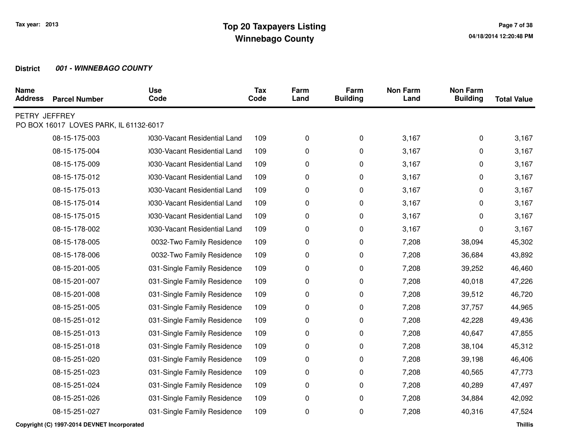| <b>Name</b><br><b>Address</b> | <b>Parcel Number</b>                   | <b>Use</b><br>Code           | <b>Tax</b><br>Code | Farm<br>Land | Farm<br><b>Building</b> | <b>Non Farm</b><br>Land | <b>Non Farm</b><br><b>Building</b> | <b>Total Value</b> |
|-------------------------------|----------------------------------------|------------------------------|--------------------|--------------|-------------------------|-------------------------|------------------------------------|--------------------|
| PETRY JEFFREY                 | PO BOX 16017 LOVES PARK, IL 61132-6017 |                              |                    |              |                         |                         |                                    |                    |
|                               | 08-15-175-003                          | 0030-Vacant Residential Land | 109                | 0            | 0                       | 3,167                   | 0                                  | 3,167              |
|                               | 08-15-175-004                          | 0030-Vacant Residential Land | 109                | 0            | 0                       | 3,167                   | 0                                  | 3,167              |
|                               | 08-15-175-009                          | 0030-Vacant Residential Land | 109                | 0            | 0                       | 3,167                   | 0                                  | 3,167              |
|                               | 08-15-175-012                          | 0030-Vacant Residential Land | 109                | 0            | 0                       | 3,167                   | 0                                  | 3,167              |
|                               | 08-15-175-013                          | 0030-Vacant Residential Land | 109                | 0            | 0                       | 3,167                   | 0                                  | 3,167              |
|                               | 08-15-175-014                          | 0030-Vacant Residential Land | 109                | 0            | 0                       | 3,167                   | 0                                  | 3,167              |
|                               | 08-15-175-015                          | 0030-Vacant Residential Land | 109                |              | 0                       | 3,167                   | 0                                  | 3,167              |
|                               |                                        |                              |                    | 0            |                         |                         |                                    |                    |
|                               | 08-15-178-002                          | 1030-Vacant Residential Land | 109                | 0            | 0                       | 3,167                   | 0                                  | 3,167              |
|                               | 08-15-178-005                          | 0032-Two Family Residence    | 109                | 0            | 0                       | 7,208                   | 38,094                             | 45,302             |
|                               | 08-15-178-006                          | 0032-Two Family Residence    | 109                | 0            | 0                       | 7,208                   | 36,684                             | 43,892             |
|                               | 08-15-201-005                          | 031-Single Family Residence  | 109                | 0            | 0                       | 7,208                   | 39,252                             | 46,460             |
|                               | 08-15-201-007                          | 031-Single Family Residence  | 109                | 0            | 0                       | 7,208                   | 40,018                             | 47,226             |
|                               | 08-15-201-008                          | 031-Single Family Residence  | 109                | 0            | 0                       | 7,208                   | 39,512                             | 46,720             |
|                               | 08-15-251-005                          | 031-Single Family Residence  | 109                | 0            | 0                       | 7,208                   | 37,757                             | 44,965             |
|                               | 08-15-251-012                          | 031-Single Family Residence  | 109                | 0            | 0                       | 7,208                   | 42,228                             | 49,436             |
|                               | 08-15-251-013                          | 031-Single Family Residence  | 109                | 0            | 0                       | 7,208                   | 40,647                             | 47,855             |
|                               | 08-15-251-018                          | 031-Single Family Residence  | 109                | 0            | 0                       | 7,208                   | 38,104                             | 45,312             |
|                               | 08-15-251-020                          | 031-Single Family Residence  | 109                | 0            | 0                       | 7,208                   | 39,198                             | 46,406             |
|                               | 08-15-251-023                          | 031-Single Family Residence  | 109                | 0            | 0                       | 7,208                   | 40,565                             | 47,773             |
|                               | 08-15-251-024                          | 031-Single Family Residence  | 109                | 0            | 0                       | 7,208                   | 40,289                             | 47,497             |
|                               | 08-15-251-026                          | 031-Single Family Residence  | 109                | 0            | 0                       | 7,208                   | 34,884                             | 42,092             |
|                               | 08-15-251-027                          | 031-Single Family Residence  | 109                | 0            | 0                       | 7,208                   | 40,316                             | 47,524             |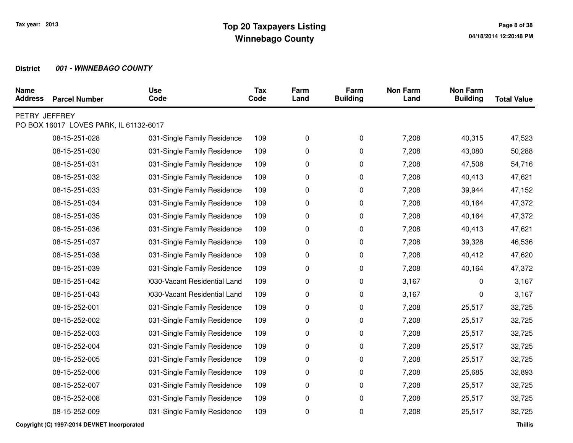| <b>Name</b><br><b>Address</b> | <b>Parcel Number</b>                   | <b>Use</b><br>Code           | <b>Tax</b><br>Code | Farm<br>Land | Farm<br><b>Building</b> | <b>Non Farm</b><br>Land | <b>Non Farm</b><br><b>Building</b> | <b>Total Value</b> |
|-------------------------------|----------------------------------------|------------------------------|--------------------|--------------|-------------------------|-------------------------|------------------------------------|--------------------|
| PETRY JEFFREY                 | PO BOX 16017 LOVES PARK, IL 61132-6017 |                              |                    |              |                         |                         |                                    |                    |
|                               | 08-15-251-028                          | 031-Single Family Residence  | 109                | 0            | 0                       | 7,208                   | 40,315                             | 47,523             |
|                               | 08-15-251-030                          | 031-Single Family Residence  | 109                | 0            | 0                       | 7,208                   | 43,080                             | 50,288             |
|                               | 08-15-251-031                          | 031-Single Family Residence  | 109                | 0            | 0                       | 7,208                   | 47,508                             | 54,716             |
|                               | 08-15-251-032                          | 031-Single Family Residence  | 109                | 0            | 0                       | 7,208                   | 40,413                             | 47,621             |
|                               | 08-15-251-033                          | 031-Single Family Residence  | 109                | 0            | 0                       | 7,208                   | 39,944                             | 47,152             |
|                               | 08-15-251-034                          | 031-Single Family Residence  | 109                | 0            | 0                       | 7,208                   | 40,164                             | 47,372             |
|                               | 08-15-251-035                          | 031-Single Family Residence  | 109                | 0            | 0                       | 7,208                   | 40,164                             | 47,372             |
|                               | 08-15-251-036                          | 031-Single Family Residence  | 109                | 0            | 0                       | 7,208                   | 40,413                             | 47,621             |
|                               | 08-15-251-037                          | 031-Single Family Residence  | 109                | 0            | 0                       | 7,208                   | 39,328                             | 46,536             |
|                               | 08-15-251-038                          | 031-Single Family Residence  | 109                | 0            | 0                       | 7,208                   | 40,412                             | 47,620             |
|                               | 08-15-251-039                          | 031-Single Family Residence  | 109                | 0            | 0                       | 7,208                   | 40,164                             | 47,372             |
|                               | 08-15-251-042                          | 0030-Vacant Residential Land | 109                | 0            | 0                       | 3,167                   | 0                                  | 3,167              |
|                               | 08-15-251-043                          | 0030-Vacant Residential Land | 109                | 0            | 0                       | 3,167                   | 0                                  | 3,167              |
|                               | 08-15-252-001                          | 031-Single Family Residence  | 109                | 0            | 0                       | 7,208                   | 25,517                             | 32,725             |
|                               | 08-15-252-002                          | 031-Single Family Residence  | 109                | 0            | 0                       | 7,208                   | 25,517                             | 32,725             |
|                               | 08-15-252-003                          | 031-Single Family Residence  | 109                | 0            | 0                       | 7,208                   | 25,517                             | 32,725             |
|                               | 08-15-252-004                          | 031-Single Family Residence  | 109                | 0            | 0                       | 7,208                   | 25,517                             | 32,725             |
|                               | 08-15-252-005                          | 031-Single Family Residence  | 109                | 0            | 0                       | 7,208                   | 25,517                             | 32,725             |
|                               | 08-15-252-006                          | 031-Single Family Residence  | 109                | 0            | 0                       | 7,208                   | 25,685                             | 32,893             |
|                               | 08-15-252-007                          | 031-Single Family Residence  | 109                | 0            | 0                       | 7,208                   | 25,517                             | 32,725             |
|                               | 08-15-252-008                          | 031-Single Family Residence  | 109                | 0            | 0                       | 7,208                   | 25,517                             | 32,725             |
|                               | 08-15-252-009                          | 031-Single Family Residence  | 109                | 0            | 0                       | 7,208                   | 25,517                             | 32,725             |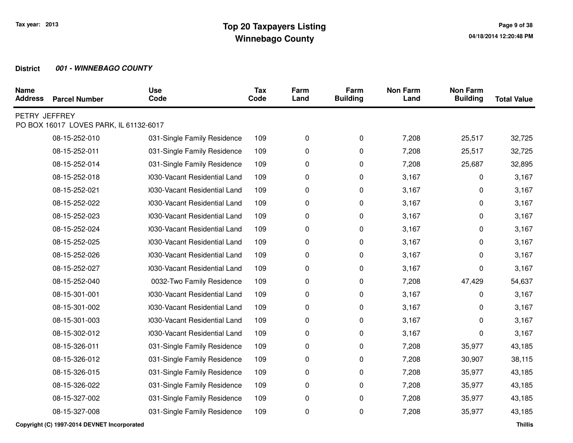| <b>Name</b><br><b>Address</b> | <b>Parcel Number</b>                   | <b>Use</b><br>Code           | <b>Tax</b><br>Code | Farm<br>Land | Farm<br><b>Building</b> | <b>Non Farm</b><br>Land | <b>Non Farm</b><br><b>Building</b> | <b>Total Value</b> |
|-------------------------------|----------------------------------------|------------------------------|--------------------|--------------|-------------------------|-------------------------|------------------------------------|--------------------|
| PETRY JEFFREY                 | PO BOX 16017 LOVES PARK, IL 61132-6017 |                              |                    |              |                         |                         |                                    |                    |
|                               |                                        |                              |                    |              |                         |                         |                                    |                    |
|                               | 08-15-252-010                          | 031-Single Family Residence  | 109                | 0            | 0                       | 7,208                   | 25,517                             | 32,725             |
|                               | 08-15-252-011                          | 031-Single Family Residence  | 109                | 0            | 0                       | 7,208                   | 25,517                             | 32,725             |
|                               | 08-15-252-014                          | 031-Single Family Residence  | 109                | 0            | 0                       | 7,208                   | 25,687                             | 32,895             |
|                               | 08-15-252-018                          | 0030-Vacant Residential Land | 109                | 0            | 0                       | 3,167                   | 0                                  | 3,167              |
|                               | 08-15-252-021                          | 0030-Vacant Residential Land | 109                | 0            | 0                       | 3,167                   | 0                                  | 3,167              |
|                               | 08-15-252-022                          | 0030-Vacant Residential Land | 109                | 0            | 0                       | 3,167                   | 0                                  | 3,167              |
|                               | 08-15-252-023                          | 0030-Vacant Residential Land | 109                | 0            | 0                       | 3,167                   | 0                                  | 3,167              |
|                               | 08-15-252-024                          | 0030-Vacant Residential Land | 109                | 0            | 0                       | 3,167                   | 0                                  | 3,167              |
|                               | 08-15-252-025                          | 0030-Vacant Residential Land | 109                | 0            | 0                       | 3,167                   | 0                                  | 3,167              |
|                               | 08-15-252-026                          | 0030-Vacant Residential Land | 109                | 0            | 0                       | 3,167                   | 0                                  | 3,167              |
|                               | 08-15-252-027                          | 0030-Vacant Residential Land | 109                | 0            | 0                       | 3,167                   | 0                                  | 3,167              |
|                               | 08-15-252-040                          | 0032-Two Family Residence    | 109                | 0            | 0                       | 7,208                   | 47,429                             | 54,637             |
|                               | 08-15-301-001                          | 0030-Vacant Residential Land | 109                | 0            | 0                       | 3,167                   | 0                                  | 3,167              |
|                               | 08-15-301-002                          | 0030-Vacant Residential Land | 109                | 0            | 0                       | 3,167                   | 0                                  | 3,167              |
|                               | 08-15-301-003                          | 0030-Vacant Residential Land | 109                | 0            | 0                       | 3,167                   | 0                                  | 3,167              |
|                               | 08-15-302-012                          | 0030-Vacant Residential Land | 109                | 0            | 0                       | 3,167                   | 0                                  | 3,167              |
|                               | 08-15-326-011                          | 031-Single Family Residence  | 109                | 0            | 0                       | 7,208                   | 35,977                             | 43,185             |
|                               | 08-15-326-012                          | 031-Single Family Residence  | 109                | 0            | 0                       | 7,208                   | 30,907                             | 38,115             |
|                               | 08-15-326-015                          | 031-Single Family Residence  | 109                | 0            | 0                       | 7,208                   | 35,977                             | 43,185             |
|                               | 08-15-326-022                          | 031-Single Family Residence  | 109                | 0            | 0                       | 7,208                   | 35,977                             | 43,185             |
|                               | 08-15-327-002                          | 031-Single Family Residence  | 109                | 0            | 0                       | 7,208                   | 35,977                             | 43,185             |
|                               | 08-15-327-008                          | 031-Single Family Residence  | 109                | 0            | 0                       | 7,208                   | 35,977                             | 43,185             |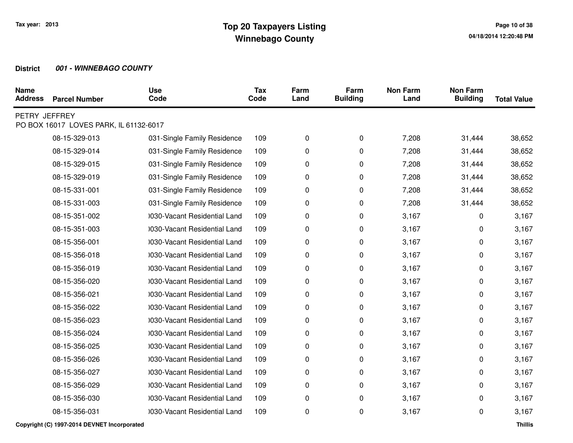| <b>Name</b><br><b>Address</b> | <b>Parcel Number</b>                   | <b>Use</b><br>Code           | <b>Tax</b><br>Code | Farm<br>Land | Farm<br><b>Building</b> | <b>Non Farm</b><br>Land | <b>Non Farm</b><br><b>Building</b> | <b>Total Value</b> |
|-------------------------------|----------------------------------------|------------------------------|--------------------|--------------|-------------------------|-------------------------|------------------------------------|--------------------|
| PETRY JEFFREY                 | PO BOX 16017 LOVES PARK, IL 61132-6017 |                              |                    |              |                         |                         |                                    |                    |
|                               | 08-15-329-013                          | 031-Single Family Residence  | 109                | 0            | 0                       | 7,208                   | 31,444                             | 38,652             |
|                               | 08-15-329-014                          | 031-Single Family Residence  | 109                | 0            | 0                       | 7,208                   | 31,444                             | 38,652             |
|                               | 08-15-329-015                          | 031-Single Family Residence  | 109                | 0            | 0                       | 7,208                   | 31,444                             | 38,652             |
|                               | 08-15-329-019                          | 031-Single Family Residence  | 109                | 0            | 0                       | 7,208                   | 31,444                             | 38,652             |
|                               | 08-15-331-001                          | 031-Single Family Residence  | 109                | 0            | 0                       | 7,208                   | 31,444                             | 38,652             |
|                               | 08-15-331-003                          | 031-Single Family Residence  | 109                | 0            | 0                       | 7,208                   | 31,444                             | 38,652             |
|                               | 08-15-351-002                          | 0030-Vacant Residential Land | 109                | 0            | 0                       | 3,167                   | 0                                  | 3,167              |
|                               | 08-15-351-003                          | 0030-Vacant Residential Land | 109                | 0            | 0                       | 3,167                   | 0                                  | 3,167              |
|                               | 08-15-356-001                          | 0030-Vacant Residential Land | 109                | 0            | 0                       | 3,167                   | 0                                  | 3,167              |
|                               | 08-15-356-018                          | 0030-Vacant Residential Land | 109                | 0            | 0                       | 3,167                   | 0                                  | 3,167              |
|                               | 08-15-356-019                          | 0030-Vacant Residential Land | 109                | 0            | 0                       | 3,167                   | 0                                  | 3,167              |
|                               | 08-15-356-020                          | 0030-Vacant Residential Land | 109                | 0            | 0                       | 3,167                   | 0                                  | 3,167              |
|                               | 08-15-356-021                          | 0030-Vacant Residential Land | 109                | 0            | 0                       | 3,167                   | 0                                  | 3,167              |
|                               | 08-15-356-022                          | 0030-Vacant Residential Land | 109                | 0            | 0                       | 3,167                   | 0                                  | 3,167              |
|                               | 08-15-356-023                          | 0030-Vacant Residential Land | 109                | 0            | 0                       | 3,167                   | 0                                  | 3,167              |
|                               | 08-15-356-024                          | 0030-Vacant Residential Land | 109                | 0            | 0                       | 3,167                   | 0                                  | 3,167              |
|                               | 08-15-356-025                          | 1030-Vacant Residential Land | 109                | 0            | 0                       | 3,167                   | 0                                  | 3,167              |
|                               | 08-15-356-026                          | 0030-Vacant Residential Land | 109                | 0            | 0                       | 3,167                   | 0                                  | 3,167              |
|                               | 08-15-356-027                          | 0030-Vacant Residential Land | 109                | 0            | 0                       | 3,167                   | 0                                  | 3,167              |
|                               | 08-15-356-029                          | 0030-Vacant Residential Land | 109                | 0            | 0                       | 3,167                   | 0                                  | 3,167              |
|                               | 08-15-356-030                          | 1030-Vacant Residential Land | 109                | 0            | 0                       | 3,167                   | 0                                  | 3,167              |
|                               | 08-15-356-031                          | 0030-Vacant Residential Land | 109                | 0            | 0                       | 3,167                   | 0                                  | 3,167              |
|                               |                                        |                              |                    |              |                         |                         |                                    |                    |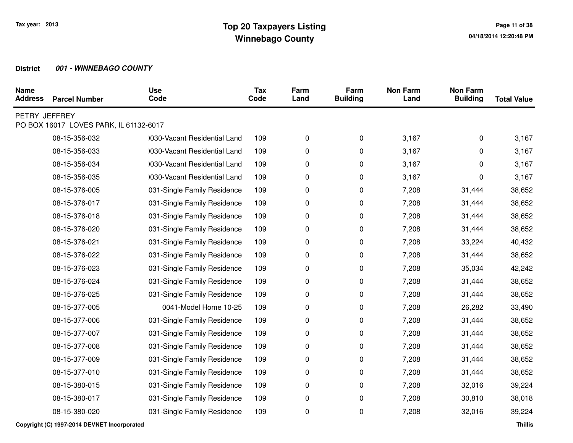| <b>Name</b><br><b>Address</b> | <b>Parcel Number</b>                   | <b>Use</b><br>Code           | <b>Tax</b><br>Code | Farm<br>Land | Farm<br><b>Building</b> | <b>Non Farm</b><br>Land | <b>Non Farm</b><br><b>Building</b> | <b>Total Value</b> |
|-------------------------------|----------------------------------------|------------------------------|--------------------|--------------|-------------------------|-------------------------|------------------------------------|--------------------|
| PETRY JEFFREY                 | PO BOX 16017 LOVES PARK, IL 61132-6017 |                              |                    |              |                         |                         |                                    |                    |
|                               |                                        |                              |                    |              |                         |                         |                                    |                    |
|                               | 08-15-356-032                          | 0030-Vacant Residential Land | 109                | 0            | 0                       | 3,167                   | 0                                  | 3,167              |
|                               | 08-15-356-033                          | 0030-Vacant Residential Land | 109                | 0            | 0                       | 3,167                   | 0                                  | 3,167              |
|                               | 08-15-356-034                          | 0030-Vacant Residential Land | 109                | 0            | 0                       | 3,167                   | 0                                  | 3,167              |
|                               | 08-15-356-035                          | 0030-Vacant Residential Land | 109                | 0            | 0                       | 3,167                   | 0                                  | 3,167              |
|                               | 08-15-376-005                          | 031-Single Family Residence  | 109                | 0            | 0                       | 7,208                   | 31,444                             | 38,652             |
|                               | 08-15-376-017                          | 031-Single Family Residence  | 109                | 0            | 0                       | 7,208                   | 31,444                             | 38,652             |
|                               | 08-15-376-018                          | 031-Single Family Residence  | 109                | 0            | 0                       | 7,208                   | 31,444                             | 38,652             |
|                               | 08-15-376-020                          | 031-Single Family Residence  | 109                | 0            | 0                       | 7,208                   | 31,444                             | 38,652             |
|                               | 08-15-376-021                          | 031-Single Family Residence  | 109                | 0            | 0                       | 7,208                   | 33,224                             | 40,432             |
|                               | 08-15-376-022                          | 031-Single Family Residence  | 109                | 0            | 0                       | 7,208                   | 31,444                             | 38,652             |
|                               | 08-15-376-023                          | 031-Single Family Residence  | 109                | 0            | 0                       | 7,208                   | 35,034                             | 42,242             |
|                               | 08-15-376-024                          | 031-Single Family Residence  | 109                | 0            | 0                       | 7,208                   | 31,444                             | 38,652             |
|                               | 08-15-376-025                          | 031-Single Family Residence  | 109                | 0            | 0                       | 7,208                   | 31,444                             | 38,652             |
|                               | 08-15-377-005                          | 0041-Model Home 10-25        | 109                | 0            | 0                       | 7,208                   | 26,282                             | 33,490             |
|                               | 08-15-377-006                          | 031-Single Family Residence  | 109                | 0            | 0                       | 7,208                   | 31,444                             | 38,652             |
|                               | 08-15-377-007                          | 031-Single Family Residence  | 109                | 0            | 0                       | 7,208                   | 31,444                             | 38,652             |
|                               | 08-15-377-008                          | 031-Single Family Residence  | 109                | 0            | 0                       | 7,208                   | 31,444                             | 38,652             |
|                               | 08-15-377-009                          | 031-Single Family Residence  | 109                | 0            | 0                       | 7,208                   | 31,444                             | 38,652             |
|                               | 08-15-377-010                          | 031-Single Family Residence  | 109                | 0            | 0                       | 7,208                   | 31,444                             | 38,652             |
|                               | 08-15-380-015                          | 031-Single Family Residence  | 109                | 0            | 0                       | 7,208                   | 32,016                             | 39,224             |
|                               | 08-15-380-017                          | 031-Single Family Residence  | 109                | 0            | 0                       | 7,208                   | 30,810                             | 38,018             |
|                               | 08-15-380-020                          | 031-Single Family Residence  | 109                | 0            | 0                       | 7,208                   | 32,016                             | 39,224             |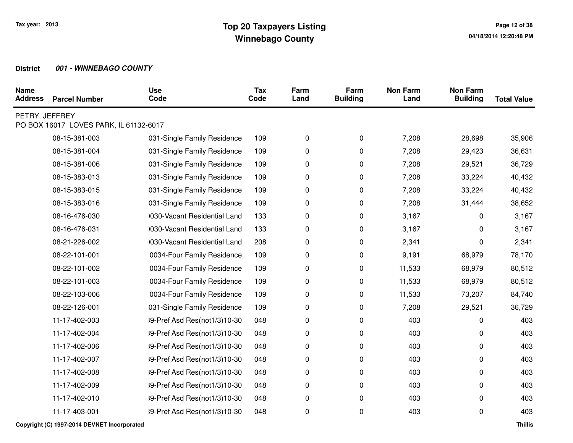| <b>Name</b><br><b>Address</b> | <b>Parcel Number</b>                   | <b>Use</b><br>Code           | <b>Tax</b><br>Code | Farm<br>Land | Farm<br><b>Building</b> | <b>Non Farm</b><br>Land | <b>Non Farm</b><br><b>Building</b> | <b>Total Value</b> |
|-------------------------------|----------------------------------------|------------------------------|--------------------|--------------|-------------------------|-------------------------|------------------------------------|--------------------|
| PETRY JEFFREY                 | PO BOX 16017 LOVES PARK, IL 61132-6017 |                              |                    |              |                         |                         |                                    |                    |
|                               | 08-15-381-003                          | 031-Single Family Residence  | 109                | 0            | 0                       | 7,208                   | 28,698                             | 35,906             |
|                               | 08-15-381-004                          | 031-Single Family Residence  | 109                | 0            | 0                       | 7,208                   | 29,423                             | 36,631             |
|                               | 08-15-381-006                          | 031-Single Family Residence  | 109                | 0            | 0                       | 7,208                   | 29,521                             | 36,729             |
|                               | 08-15-383-013                          | 031-Single Family Residence  | 109                | 0            | 0                       | 7,208                   | 33,224                             | 40,432             |
|                               | 08-15-383-015                          | 031-Single Family Residence  | 109                | 0            | 0                       | 7,208                   | 33,224                             | 40,432             |
|                               | 08-15-383-016                          | 031-Single Family Residence  | 109                | 0            | 0                       | 7,208                   | 31,444                             | 38,652             |
|                               | 08-16-476-030                          | 0030-Vacant Residential Land | 133                | 0            | 0                       | 3,167                   | 0                                  | 3,167              |
|                               | 08-16-476-031                          | 0030-Vacant Residential Land | 133                | 0            | 0                       | 3,167                   | 0                                  | 3,167              |
|                               | 08-21-226-002                          | 0030-Vacant Residential Land | 208                | 0            | 0                       | 2,341                   | 0                                  | 2,341              |
|                               | 08-22-101-001                          | 0034-Four Family Residence   | 109                | 0            | 0                       | 9,191                   | 68,979                             | 78,170             |
|                               | 08-22-101-002                          | 0034-Four Family Residence   | 109                | 0            | 0                       | 11,533                  | 68,979                             | 80,512             |
|                               | 08-22-101-003                          | 0034-Four Family Residence   | 109                | 0            | 0                       | 11,533                  | 68,979                             | 80,512             |
|                               | 08-22-103-006                          | 0034-Four Family Residence   | 109                | 0            | 0                       | 11,533                  | 73,207                             | 84,740             |
|                               | 08-22-126-001                          | 031-Single Family Residence  | 109                | 0            | 0                       | 7,208                   | 29,521                             | 36,729             |
|                               | 11-17-402-003                          | 39-Pref Asd Res(not1/3)10-30 | 048                | 0            | 0                       | 403                     | 0                                  | 403                |
|                               | 11-17-402-004                          | 39-Pref Asd Res(not1/3)10-30 | 048                | 0            | 0                       | 403                     | 0                                  | 403                |
|                               | 11-17-402-006                          | 39-Pref Asd Res(not1/3)10-30 | 048                | 0            | 0                       | 403                     | 0                                  | 403                |
|                               | 11-17-402-007                          | 39-Pref Asd Res(not1/3)10-30 | 048                | 0            | 0                       | 403                     | 0                                  | 403                |
|                               | 11-17-402-008                          | 39-Pref Asd Res(not1/3)10-30 | 048                | 0            | 0                       | 403                     | 0                                  | 403                |
|                               | 11-17-402-009                          | 39-Pref Asd Res(not1/3)10-30 | 048                | 0            | 0                       | 403                     | 0                                  | 403                |
|                               | 11-17-402-010                          | 39-Pref Asd Res(not1/3)10-30 | 048                | 0            | 0                       | 403                     | 0                                  | 403                |
|                               | 11-17-403-001                          | 39-Pref Asd Res(not1/3)10-30 | 048                | 0            | 0                       | 403                     | 0                                  | 403                |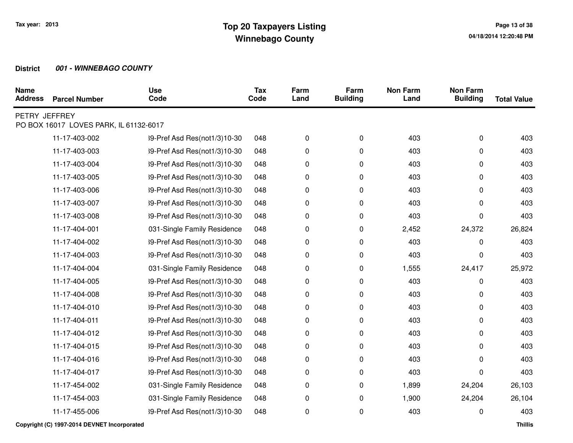| <b>Parcel Number</b> | <b>Use</b><br>Code           | <b>Tax</b><br>Code                     | Farm<br>Land | Farm<br><b>Building</b> | <b>Non Farm</b><br>Land | <b>Non Farm</b><br><b>Building</b> | <b>Total Value</b> |
|----------------------|------------------------------|----------------------------------------|--------------|-------------------------|-------------------------|------------------------------------|--------------------|
|                      |                              |                                        |              |                         |                         |                                    |                    |
| 11-17-403-002        | 39-Pref Asd Res(not1/3)10-30 | 048                                    | 0            | 0                       | 403                     | 0                                  | 403                |
| 11-17-403-003        | 39-Pref Asd Res(not1/3)10-30 | 048                                    | 0            | 0                       | 403                     | 0                                  | 403                |
| 11-17-403-004        | 39-Pref Asd Res(not1/3)10-30 | 048                                    | 0            | 0                       | 403                     | 0                                  | 403                |
| 11-17-403-005        | 39-Pref Asd Res(not1/3)10-30 | 048                                    | 0            | 0                       | 403                     | 0                                  | 403                |
| 11-17-403-006        | 39-Pref Asd Res(not1/3)10-30 | 048                                    | 0            | 0                       | 403                     | 0                                  | 403                |
| 11-17-403-007        | 39-Pref Asd Res(not1/3)10-30 | 048                                    | 0            | 0                       | 403                     | 0                                  | 403                |
| 11-17-403-008        | 39-Pref Asd Res(not1/3)10-30 | 048                                    | 0            | 0                       | 403                     | 0                                  | 403                |
| 11-17-404-001        | 031-Single Family Residence  | 048                                    | 0            | 0                       | 2,452                   | 24,372                             | 26,824             |
| 11-17-404-002        | 39-Pref Asd Res(not1/3)10-30 | 048                                    | 0            | 0                       | 403                     | 0                                  | 403                |
| 11-17-404-003        | 39-Pref Asd Res(not1/3)10-30 | 048                                    | 0            | 0                       | 403                     | 0                                  | 403                |
| 11-17-404-004        | 031-Single Family Residence  | 048                                    | 0            | 0                       | 1,555                   | 24,417                             | 25,972             |
| 11-17-404-005        | 39-Pref Asd Res(not1/3)10-30 | 048                                    | 0            | 0                       | 403                     | 0                                  | 403                |
| 11-17-404-008        | 39-Pref Asd Res(not1/3)10-30 | 048                                    | 0            | 0                       | 403                     | 0                                  | 403                |
| 11-17-404-010        | 39-Pref Asd Res(not1/3)10-30 | 048                                    | 0            | 0                       | 403                     | 0                                  | 403                |
| 11-17-404-011        | 39-Pref Asd Res(not1/3)10-30 | 048                                    | 0            | 0                       | 403                     | 0                                  | 403                |
| 11-17-404-012        | 39-Pref Asd Res(not1/3)10-30 | 048                                    | 0            | 0                       | 403                     | 0                                  | 403                |
| 11-17-404-015        | 39-Pref Asd Res(not1/3)10-30 | 048                                    | 0            | 0                       | 403                     | 0                                  | 403                |
| 11-17-404-016        | 39-Pref Asd Res(not1/3)10-30 | 048                                    | 0            | 0                       | 403                     | 0                                  | 403                |
| 11-17-404-017        | 39-Pref Asd Res(not1/3)10-30 | 048                                    | 0            | 0                       | 403                     | 0                                  | 403                |
| 11-17-454-002        | 031-Single Family Residence  | 048                                    | 0            | 0                       | 1,899                   | 24,204                             | 26,103             |
| 11-17-454-003        | 031-Single Family Residence  | 048                                    | 0            | 0                       | 1,900                   | 24,204                             | 26,104             |
| 11-17-455-006        | 39-Pref Asd Res(not1/3)10-30 | 048                                    | 0            | 0                       | 403                     | 0                                  | 403                |
|                      | PETRY JEFFREY                | PO BOX 16017 LOVES PARK, IL 61132-6017 |              |                         |                         |                                    |                    |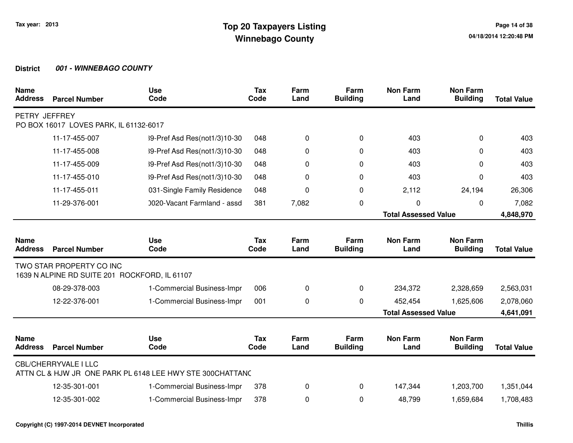| <b>Name</b><br><b>Address</b> | <b>Parcel Number</b>                                                      | <b>Use</b><br>Code                                        | <b>Tax</b><br>Code | Farm<br>Land | Farm<br><b>Building</b> | <b>Non Farm</b><br>Land     | <b>Non Farm</b><br><b>Building</b> | <b>Total Value</b> |
|-------------------------------|---------------------------------------------------------------------------|-----------------------------------------------------------|--------------------|--------------|-------------------------|-----------------------------|------------------------------------|--------------------|
| PETRY JEFFREY                 | PO BOX 16017 LOVES PARK, IL 61132-6017                                    |                                                           |                    |              |                         |                             |                                    |                    |
|                               | 11-17-455-007                                                             | 39-Pref Asd Res(not1/3)10-30                              | 048                | 0            | 0                       | 403                         | $\Omega$                           | 403                |
|                               | 11-17-455-008                                                             | 39-Pref Asd Res(not1/3)10-30                              | 048                | 0            | 0                       | 403                         | $\Omega$                           | 403                |
|                               | 11-17-455-009                                                             | 39-Pref Asd Res(not1/3)10-30                              | 048                | 0            | 0                       | 403                         | $\Omega$                           | 403                |
|                               | 11-17-455-010                                                             | 39-Pref Asd Res(not1/3)10-30                              | 048                | 0            | 0                       | 403                         | $\Omega$                           | 403                |
|                               | 11-17-455-011                                                             | 031-Single Family Residence                               | 048                | 0            | 0                       | 2,112                       | 24,194                             | 26,306             |
|                               | 11-29-376-001                                                             | 0020-Vacant Farmland - assd                               | 381                | 7,082        | 0                       | 0                           | 0                                  | 7,082              |
|                               |                                                                           |                                                           |                    |              |                         | <b>Total Assessed Value</b> |                                    | 4,848,970          |
|                               |                                                                           |                                                           |                    |              |                         |                             |                                    |                    |
| <b>Name</b><br><b>Address</b> | <b>Parcel Number</b>                                                      | <b>Use</b><br>Code                                        | <b>Tax</b><br>Code | Farm<br>Land | Farm<br><b>Building</b> | <b>Non Farm</b><br>Land     | <b>Non Farm</b><br><b>Building</b> | <b>Total Value</b> |
|                               | TWO STAR PROPERTY CO INC<br>1639 N ALPINE RD SUITE 201 ROCKFORD, IL 61107 |                                                           |                    |              |                         |                             |                                    |                    |
|                               | 08-29-378-003                                                             | 1-Commercial Business-Impr                                | 006                | 0            | 0                       | 234,372                     | 2,328,659                          | 2,563,031          |
|                               | 12-22-376-001                                                             | 1-Commercial Business-Impr                                | 001                | 0            | 0                       | 452,454                     | 1,625,606                          | 2,078,060          |
|                               |                                                                           |                                                           |                    |              |                         | <b>Total Assessed Value</b> |                                    | 4,641,091          |
| <b>Name</b><br><b>Address</b> | <b>Parcel Number</b>                                                      | <b>Use</b><br>Code                                        | <b>Tax</b><br>Code | Farm<br>Land | Farm<br><b>Building</b> | <b>Non Farm</b><br>Land     | <b>Non Farm</b><br><b>Building</b> | <b>Total Value</b> |
|                               | <b>CBL/CHERRYVALE I LLC</b>                                               | ATTN CL & HJW JR ONE PARK PL 6148 LEE HWY STE 300CHATTANC |                    |              |                         |                             |                                    |                    |
|                               | 12-35-301-001                                                             | 1-Commercial Business-Impr                                | 378                | 0            | 0                       | 147,344                     | 1,203,700                          | 1,351,044          |
|                               | 12-35-301-002                                                             | 1-Commercial Business-Impr                                | 378                | 0            | 0                       | 48,799                      | 1,659,684                          | 1,708,483          |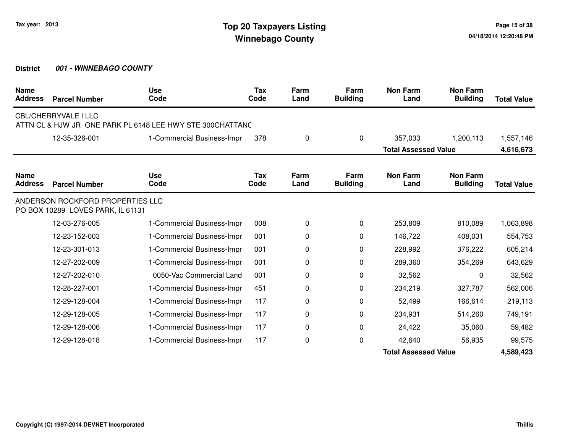| <b>Name</b><br><b>Address</b> | <b>Parcel Number</b>                                                  | <b>Use</b><br>Code                                        | <b>Tax</b><br>Code | Farm<br>Land | Farm<br><b>Building</b> | <b>Non Farm</b><br>Land     | <b>Non Farm</b><br><b>Building</b> | <b>Total Value</b> |
|-------------------------------|-----------------------------------------------------------------------|-----------------------------------------------------------|--------------------|--------------|-------------------------|-----------------------------|------------------------------------|--------------------|
|                               | <b>CBL/CHERRYVALE I LLC</b>                                           | ATTN CL & HJW JR ONE PARK PL 6148 LEE HWY STE 300CHATTANC |                    |              |                         |                             |                                    |                    |
|                               | 12-35-326-001                                                         | 1-Commercial Business-Impr                                | 378                | 0            | 0                       | 357,033                     | 1,200,113                          | 1,557,146          |
|                               |                                                                       |                                                           |                    |              |                         | <b>Total Assessed Value</b> |                                    | 4,616,673          |
| <b>Name</b><br><b>Address</b> | <b>Parcel Number</b>                                                  | <b>Use</b><br>Code                                        | <b>Tax</b><br>Code | Farm<br>Land | Farm<br><b>Building</b> | <b>Non Farm</b><br>Land     | <b>Non Farm</b><br><b>Building</b> | <b>Total Value</b> |
|                               | ANDERSON ROCKFORD PROPERTIES LLC<br>PO BOX 10289 LOVES PARK, IL 61131 |                                                           |                    |              |                         |                             |                                    |                    |
|                               | 12-03-276-005                                                         | 1-Commercial Business-Impr                                | 008                | 0            | 0                       | 253,809                     | 810,089                            | 1,063,898          |
|                               | 12-23-152-003                                                         | 1-Commercial Business-Impr                                | 001                | 0            | 0                       | 146,722                     | 408,031                            | 554,753            |
|                               | 12-23-301-013                                                         | 1-Commercial Business-Impr                                | 001                | 0            | 0                       | 228,992                     | 376,222                            | 605,214            |
|                               | 12-27-202-009                                                         | 1-Commercial Business-Impr                                | 001                | 0            | 0                       | 289,360                     | 354,269                            | 643,629            |
|                               | 12-27-202-010                                                         | 0050-Vac Commercial Land                                  | 001                | 0            | 0                       | 32,562                      | 0                                  | 32,562             |
|                               | 12-28-227-001                                                         | 1-Commercial Business-Impr                                | 451                | 0            | 0                       | 234,219                     | 327,787                            | 562,006            |
|                               | 12-29-128-004                                                         | 1-Commercial Business-Impr                                | 117                | 0            | 0                       | 52,499                      | 166,614                            | 219,113            |
|                               | 12-29-128-005                                                         | 1-Commercial Business-Impr                                | 117                | 0            | 0                       | 234,931                     | 514,260                            | 749,191            |
|                               | 12-29-128-006                                                         | 1-Commercial Business-Impr                                | 117                | 0            | 0                       | 24,422                      | 35,060                             | 59,482             |
|                               | 12-29-128-018                                                         | 1-Commercial Business-Impr                                | 117                | 0            | 0                       | 42,640                      | 56,935                             | 99,575             |
|                               |                                                                       |                                                           |                    |              |                         | <b>Total Assessed Value</b> |                                    | 4,589,423          |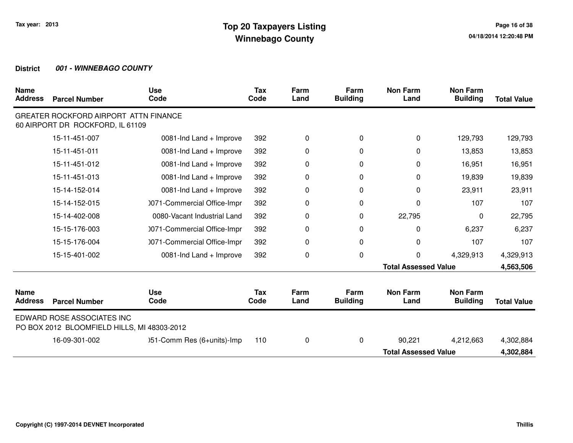| <b>Name</b><br><b>Address</b> | <b>Parcel Number</b>                                                      | <b>Use</b><br>Code          | <b>Tax</b><br>Code | Farm<br>Land | Farm<br><b>Building</b> | <b>Non Farm</b><br>Land     | <b>Non Farm</b><br><b>Building</b> | <b>Total Value</b> |
|-------------------------------|---------------------------------------------------------------------------|-----------------------------|--------------------|--------------|-------------------------|-----------------------------|------------------------------------|--------------------|
|                               | GREATER ROCKFORD AIRPORT ATTN FINANCE<br>60 AIRPORT DR ROCKFORD, IL 61109 |                             |                    |              |                         |                             |                                    |                    |
|                               | 15-11-451-007                                                             | 0081-Ind Land + Improve     | 392                | $\mathbf 0$  | 0                       | 0                           | 129,793                            | 129,793            |
|                               | 15-11-451-011                                                             | 0081-Ind Land + Improve     | 392                | 0            | 0                       | 0                           | 13,853                             | 13,853             |
|                               | 15-11-451-012                                                             | 0081-Ind Land + Improve     | 392                | 0            | 0                       | 0                           | 16,951                             | 16,951             |
|                               | 15-11-451-013                                                             | 0081-Ind Land + Improve     | 392                | 0            | $\Omega$                | $\Omega$                    | 19,839                             | 19,839             |
|                               | 15-14-152-014                                                             | 0081-Ind Land + Improve     | 392                | 0            | 0                       | 0                           | 23,911                             | 23,911             |
|                               | 15-14-152-015                                                             | 0071-Commercial Office-Impr | 392                | 0            | 0                       | 0                           | 107                                | 107                |
|                               | 15-14-402-008                                                             | 0080-Vacant Industrial Land | 392                | 0            | 0                       | 22,795                      | 0                                  | 22,795             |
|                               | 15-15-176-003                                                             | 0071-Commercial Office-Impr | 392                | 0            | 0                       | 0                           | 6,237                              | 6,237              |
|                               | 15-15-176-004                                                             | 0071-Commercial Office-Impr | 392                | 0            | 0                       | 0                           | 107                                | 107                |
|                               | 15-15-401-002                                                             | 0081-Ind Land + Improve     | 392                | 0            | 0                       | 0                           | 4,329,913                          | 4,329,913          |
|                               |                                                                           |                             |                    |              |                         | <b>Total Assessed Value</b> |                                    | 4,563,506          |
| <b>Name</b><br><b>Address</b> | <b>Parcel Number</b>                                                      | <b>Use</b><br>Code          | Tax<br>Code        | Farm<br>Land | Farm<br><b>Building</b> | <b>Non Farm</b><br>Land     | <b>Non Farm</b><br><b>Building</b> | <b>Total Value</b> |
|                               | EDWARD ROSE ASSOCIATES INC<br>PO BOX 2012 BLOOMFIELD HILLS, MI 48303-2012 |                             |                    |              |                         |                             |                                    |                    |
|                               | 16-09-301-002                                                             | )51-Comm Res (6+units)-Imp  | 110                | $\mathbf 0$  | 0                       | 90,221                      | 4,212,663                          | 4,302,884          |
|                               |                                                                           |                             |                    |              |                         | <b>Total Assessed Value</b> |                                    | 4,302,884          |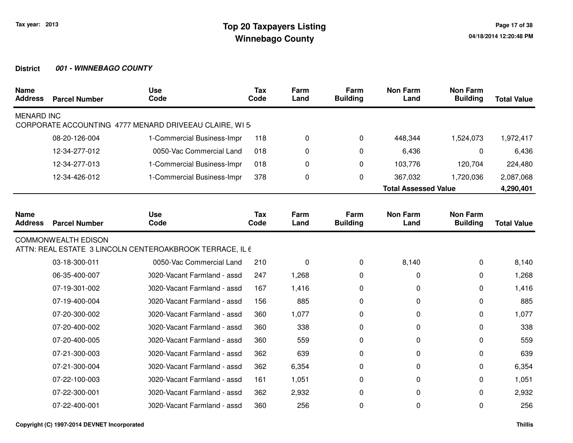| <b>Name</b><br><b>Address</b> | <b>Parcel Number</b>       | <b>Use</b><br>Code                                       | <b>Tax</b><br>Code | Farm<br>Land | Farm<br><b>Building</b> | <b>Non Farm</b><br>Land     | <b>Non Farm</b><br><b>Building</b> | <b>Total Value</b> |
|-------------------------------|----------------------------|----------------------------------------------------------|--------------------|--------------|-------------------------|-----------------------------|------------------------------------|--------------------|
| <b>MENARD INC</b>             |                            | CORPORATE ACCOUNTING 4777 MENARD DRIVEEAU CLAIRE, WI 5   |                    |              |                         |                             |                                    |                    |
|                               | 08-20-126-004              | 1-Commercial Business-Impr                               | 118                | 0            | 0                       | 448,344                     | 1,524,073                          | 1,972,417          |
|                               | 12-34-277-012              | 0050-Vac Commercial Land                                 | 018                | 0            | $\Omega$                | 6,436                       | $\Omega$                           | 6,436              |
|                               | 12-34-277-013              | 1-Commercial Business-Impr                               | 018                | 0            | 0                       | 103,776                     | 120,704                            | 224,480            |
|                               | 12-34-426-012              | 1-Commercial Business-Impr                               | 378                | 0            | 0                       | 367,032                     | 1,720,036                          | 2,087,068          |
|                               |                            |                                                          |                    |              |                         | <b>Total Assessed Value</b> |                                    | 4,290,401          |
|                               |                            |                                                          |                    |              |                         |                             |                                    |                    |
| <b>Name</b><br><b>Address</b> | <b>Parcel Number</b>       | <b>Use</b><br>Code                                       | <b>Tax</b><br>Code | Farm<br>Land | Farm<br><b>Building</b> | <b>Non Farm</b><br>Land     | <b>Non Farm</b><br><b>Building</b> | <b>Total Value</b> |
|                               | <b>COMMONWEALTH EDISON</b> | ATTN: REAL ESTATE 3 LINCOLN CENTEROAKBROOK TERRACE, IL 6 |                    |              |                         |                             |                                    |                    |
|                               | 03-18-300-011              | 0050-Vac Commercial Land                                 | 210                | 0            | 0                       | 8,140                       | $\Omega$                           | 8,140              |
|                               | 06-35-400-007              | 0020-Vacant Farmland - assd                              | 247                | 1,268        | 0                       | 0                           | 0                                  | 1,268              |
|                               | 07-19-301-002              | 0020-Vacant Farmland - assd                              | 167                | 1,416        | 0                       | 0                           | 0                                  | 1,416              |
|                               | 07-19-400-004              | 0020-Vacant Farmland - assd                              | 156                | 885          | 0                       | 0                           | 0                                  | 885                |
|                               | 07-20-300-002              | 0020-Vacant Farmland - assd                              | 360                | 1,077        | 0                       | 0                           | 0                                  | 1,077              |
|                               | 07-20-400-002              | 0020-Vacant Farmland - assd                              | 360                | 338          | 0                       | 0                           | 0                                  | 338                |
|                               | 07-20-400-005              | 0020-Vacant Farmland - assd                              | 360                | 559          | 0                       | 0                           | 0                                  | 559                |
|                               | 07-21-300-003              | 0020-Vacant Farmland - assd                              | 362                | 639          | 0                       | 0                           | 0                                  | 639                |
|                               | 07-21-300-004              | 0020-Vacant Farmland - assd                              | 362                | 6,354        | $\Omega$                | 0                           | 0                                  | 6,354              |
|                               | 07-22-100-003              | 0020-Vacant Farmland - assd                              | 161                | 1,051        | 0                       | 0                           | 0                                  | 1,051              |
|                               | 07-22-300-001              | 0020-Vacant Farmland - assd                              | 362                | 2,932        | 0                       | 0                           | 0                                  | 2,932              |
|                               | 07-22-400-001              | 0020-Vacant Farmland - assd                              | 360                | 256          | 0                       | 0                           | 0                                  | 256                |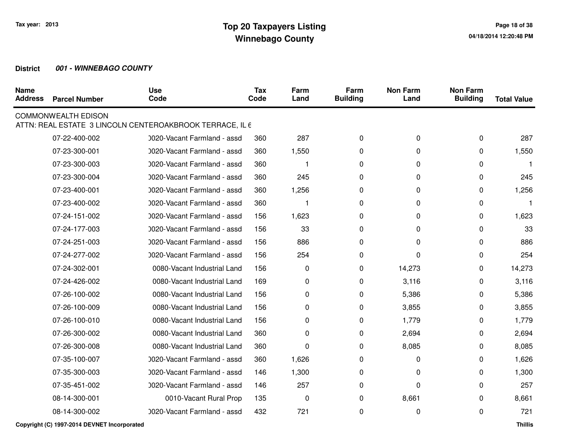| <b>Name</b><br><b>Address</b> | <b>Parcel Number</b>       | <b>Use</b><br>Code                                       | Tax<br>Code | Farm<br>Land            | Farm<br><b>Building</b> | <b>Non Farm</b><br>Land | <b>Non Farm</b><br><b>Building</b> | <b>Total Value</b> |
|-------------------------------|----------------------------|----------------------------------------------------------|-------------|-------------------------|-------------------------|-------------------------|------------------------------------|--------------------|
|                               | <b>COMMONWEALTH EDISON</b> | ATTN: REAL ESTATE 3 LINCOLN CENTEROAKBROOK TERRACE, IL 6 |             |                         |                         |                         |                                    |                    |
|                               | 07-22-400-002              | 0020-Vacant Farmland - assd                              | 360         | 287                     | 0                       | 0                       | 0                                  | 287                |
|                               | 07-23-300-001              | 0020-Vacant Farmland - assd                              | 360         | 1,550                   | 0                       | 0                       | 0                                  | 1,550              |
|                               | 07-23-300-003              | 0020-Vacant Farmland - assd                              | 360         |                         | 0                       | 0                       | 0                                  |                    |
|                               | 07-23-300-004              | 0020-Vacant Farmland - assd                              | 360         | 245                     | 0                       | 0                       | 0                                  | 245                |
|                               | 07-23-400-001              | 0020-Vacant Farmland - assd                              | 360         | 1,256                   | 0                       | 0                       | 0                                  | 1,256              |
|                               | 07-23-400-002              | 0020-Vacant Farmland - assd                              | 360         | $\overline{\mathbf{1}}$ | 0                       | 0                       | 0                                  | 1                  |
|                               | 07-24-151-002              | 0020-Vacant Farmland - assd                              | 156         | 1,623                   | 0                       | 0                       | 0                                  | 1,623              |
|                               | 07-24-177-003              | 0020-Vacant Farmland - assd                              | 156         | 33                      | 0                       | 0                       | 0                                  | 33                 |
|                               | 07-24-251-003              | 0020-Vacant Farmland - assd                              | 156         | 886                     | 0                       | 0                       | 0                                  | 886                |
|                               | 07-24-277-002              | 0020-Vacant Farmland - assd                              | 156         | 254                     | $\Omega$                | 0                       | 0                                  | 254                |
|                               | 07-24-302-001              | 0080-Vacant Industrial Land                              | 156         | 0                       | 0                       | 14,273                  | 0                                  | 14,273             |
|                               | 07-24-426-002              | 0080-Vacant Industrial Land                              | 169         | 0                       | 0                       | 3,116                   | 0                                  | 3,116              |
|                               | 07-26-100-002              | 0080-Vacant Industrial Land                              | 156         | 0                       | 0                       | 5,386                   | 0                                  | 5,386              |
|                               | 07-26-100-009              | 0080-Vacant Industrial Land                              | 156         | 0                       | 0                       | 3,855                   | 0                                  | 3,855              |
|                               | 07-26-100-010              | 0080-Vacant Industrial Land                              | 156         | 0                       | 0                       | 1,779                   | 0                                  | 1,779              |
|                               | 07-26-300-002              | 0080-Vacant Industrial Land                              | 360         | 0                       | 0                       | 2,694                   | 0                                  | 2,694              |
|                               | 07-26-300-008              | 0080-Vacant Industrial Land                              | 360         | 0                       | 0                       | 8,085                   | 0                                  | 8,085              |
|                               | 07-35-100-007              | 0020-Vacant Farmland - assd                              | 360         | 1,626                   | 0                       | 0                       | 0                                  | 1,626              |
|                               | 07-35-300-003              | 0020-Vacant Farmland - assd                              | 146         | 1,300                   | 0                       | 0                       | 0                                  | 1,300              |
|                               | 07-35-451-002              | 0020-Vacant Farmland - assd                              | 146         | 257                     | 0                       | 0                       | 0                                  | 257                |
|                               | 08-14-300-001              | 0010-Vacant Rural Prop                                   | 135         | $\pmb{0}$               | $\Omega$                | 8,661                   | 0                                  | 8,661              |
|                               | 08-14-300-002              | 0020-Vacant Farmland - assd                              | 432         | 721                     | 0                       | 0                       | $\Omega$                           | 721                |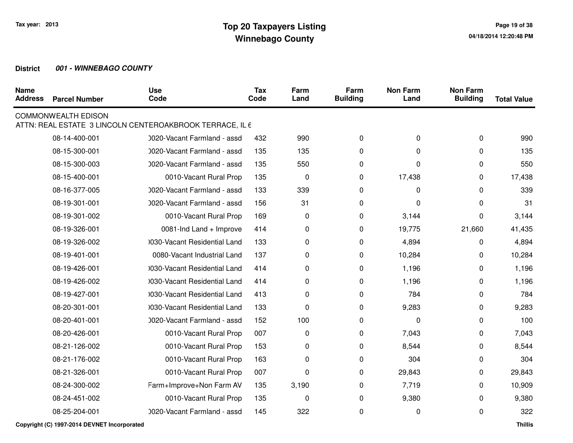| <b>Name</b><br><b>Address</b> | <b>Parcel Number</b>       | <b>Use</b><br>Code                                       | <b>Tax</b><br>Code | Farm<br>Land | Farm<br><b>Building</b> | <b>Non Farm</b><br>Land | <b>Non Farm</b><br><b>Building</b> | <b>Total Value</b> |
|-------------------------------|----------------------------|----------------------------------------------------------|--------------------|--------------|-------------------------|-------------------------|------------------------------------|--------------------|
|                               | <b>COMMONWEALTH EDISON</b> | ATTN: REAL ESTATE 3 LINCOLN CENTEROAKBROOK TERRACE, IL 6 |                    |              |                         |                         |                                    |                    |
|                               | 08-14-400-001              | 0020-Vacant Farmland - assd                              | 432                | 990          | 0                       | 0                       | 0                                  | 990                |
|                               | 08-15-300-001              | 0020-Vacant Farmland - assd                              | 135                | 135          | 0                       | 0                       | 0                                  | 135                |
|                               | 08-15-300-003              | 0020-Vacant Farmland - assd                              | 135                | 550          | 0                       | 0                       | 0                                  | 550                |
|                               | 08-15-400-001              | 0010-Vacant Rural Prop                                   | 135                | $\pmb{0}$    | 0                       | 17,438                  | 0                                  | 17,438             |
|                               | 08-16-377-005              | 0020-Vacant Farmland - assd                              | 133                | 339          | 0                       | 0                       | 0                                  | 339                |
|                               | 08-19-301-001              | 0020-Vacant Farmland - assd                              | 156                | 31           | 0                       | 0                       | 0                                  | 31                 |
|                               | 08-19-301-002              | 0010-Vacant Rural Prop                                   | 169                | 0            | 0                       | 3,144                   | 0                                  | 3,144              |
|                               | 08-19-326-001              | 0081-Ind Land + Improve                                  | 414                | 0            | 0                       | 19,775                  | 21,660                             | 41,435             |
|                               | 08-19-326-002              | 1030-Vacant Residential Land                             | 133                | 0            | 0                       | 4,894                   | 0                                  | 4,894              |
|                               | 08-19-401-001              | 0080-Vacant Industrial Land                              | 137                | 0            | 0                       | 10,284                  | 0                                  | 10,284             |
|                               | 08-19-426-001              | 0030-Vacant Residential Land                             | 414                | 0            | 0                       | 1,196                   | 0                                  | 1,196              |
|                               | 08-19-426-002              | 1030-Vacant Residential Land                             | 414                | 0            | 0                       | 1,196                   | 0                                  | 1,196              |
|                               | 08-19-427-001              | 0030-Vacant Residential Land                             | 413                | 0            | 0                       | 784                     | 0                                  | 784                |
|                               | 08-20-301-001              | 0030-Vacant Residential Land                             | 133                | 0            | 0                       | 9,283                   | 0                                  | 9,283              |
|                               | 08-20-401-001              | 0020-Vacant Farmland - assd                              | 152                | 100          | 0                       | 0                       | 0                                  | 100                |
|                               | 08-20-426-001              | 0010-Vacant Rural Prop                                   | 007                | 0            | 0                       | 7,043                   | 0                                  | 7,043              |
|                               | 08-21-126-002              | 0010-Vacant Rural Prop                                   | 153                | 0            | 0                       | 8,544                   | 0                                  | 8,544              |
|                               | 08-21-176-002              | 0010-Vacant Rural Prop                                   | 163                | 0            | 0                       | 304                     | 0                                  | 304                |
|                               | 08-21-326-001              | 0010-Vacant Rural Prop                                   | 007                | 0            | 0                       | 29,843                  | 0                                  | 29,843             |
|                               | 08-24-300-002              | Farm+Improve+Non Farm AV                                 | 135                | 3,190        | 0                       | 7,719                   | 0                                  | 10,909             |
|                               | 08-24-451-002              | 0010-Vacant Rural Prop                                   | 135                | 0            | 0                       | 9,380                   | 0                                  | 9,380              |
|                               | 08-25-204-001              | 0020-Vacant Farmland - assd                              | 145                | 322          | 0                       | 0                       | 0                                  | 322                |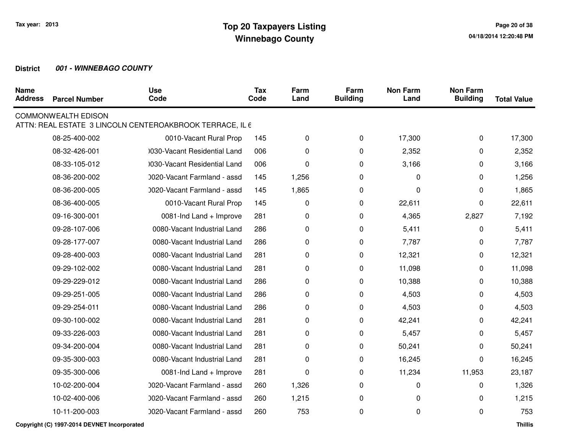| <b>Name</b><br><b>Address</b> | <b>Parcel Number</b>       | <b>Use</b><br>Code                                       | <b>Tax</b><br>Code | Farm<br>Land | Farm<br><b>Building</b> | <b>Non Farm</b><br>Land | <b>Non Farm</b><br><b>Building</b> | <b>Total Value</b> |
|-------------------------------|----------------------------|----------------------------------------------------------|--------------------|--------------|-------------------------|-------------------------|------------------------------------|--------------------|
|                               | <b>COMMONWEALTH EDISON</b> | ATTN: REAL ESTATE 3 LINCOLN CENTEROAKBROOK TERRACE, IL 6 |                    |              |                         |                         |                                    |                    |
|                               | 08-25-400-002              | 0010-Vacant Rural Prop                                   | 145                | 0            | 0                       | 17,300                  | 0                                  | 17,300             |
|                               | 08-32-426-001              | 0030-Vacant Residential Land                             | 006                | 0            | 0                       | 2,352                   | 0                                  | 2,352              |
|                               | 08-33-105-012              | 0030-Vacant Residential Land                             | 006                | $\pmb{0}$    | 0                       | 3,166                   | 0                                  | 3,166              |
|                               | 08-36-200-002              | 0020-Vacant Farmland - assd                              | 145                | 1,256        | 0                       | 0                       | 0                                  | 1,256              |
|                               | 08-36-200-005              | 0020-Vacant Farmland - assd                              | 145                | 1,865        | 0                       | 0                       | 0                                  | 1,865              |
|                               | 08-36-400-005              | 0010-Vacant Rural Prop                                   | 145                | 0            | 0                       | 22,611                  | 0                                  | 22,611             |
|                               | 09-16-300-001              | 0081-Ind Land + Improve                                  | 281                | 0            | 0                       | 4,365                   | 2,827                              | 7,192              |
|                               | 09-28-107-006              | 0080-Vacant Industrial Land                              | 286                | 0            | 0                       | 5,411                   | 0                                  | 5,411              |
|                               | 09-28-177-007              | 0080-Vacant Industrial Land                              | 286                | 0            | 0                       | 7,787                   | 0                                  | 7,787              |
|                               | 09-28-400-003              | 0080-Vacant Industrial Land                              | 281                | 0            | 0                       | 12,321                  | 0                                  | 12,321             |
|                               | 09-29-102-002              | 0080-Vacant Industrial Land                              | 281                | 0            | 0                       | 11,098                  | 0                                  | 11,098             |
|                               | 09-29-229-012              | 0080-Vacant Industrial Land                              | 286                | 0            | 0                       | 10,388                  | 0                                  | 10,388             |
|                               | 09-29-251-005              | 0080-Vacant Industrial Land                              | 286                | 0            | 0                       | 4,503                   | 0                                  | 4,503              |
|                               | 09-29-254-011              | 0080-Vacant Industrial Land                              | 286                | 0            | 0                       | 4,503                   | 0                                  | 4,503              |
|                               | 09-30-100-002              | 0080-Vacant Industrial Land                              | 281                | 0            | 0                       | 42,241                  | 0                                  | 42,241             |
|                               | 09-33-226-003              | 0080-Vacant Industrial Land                              | 281                | 0            | 0                       | 5,457                   | 0                                  | 5,457              |
|                               | 09-34-200-004              | 0080-Vacant Industrial Land                              | 281                | 0            | 0                       | 50,241                  | 0                                  | 50,241             |
|                               | 09-35-300-003              | 0080-Vacant Industrial Land                              | 281                | 0            | 0                       | 16,245                  | 0                                  | 16,245             |
|                               | 09-35-300-006              | 0081-Ind Land + Improve                                  | 281                | 0            | 0                       | 11,234                  | 11,953                             | 23,187             |
|                               | 10-02-200-004              | 0020-Vacant Farmland - assd                              | 260                | 1,326        | 0                       | 0                       | 0                                  | 1,326              |
|                               | 10-02-400-006              | 0020-Vacant Farmland - assd                              | 260                | 1,215        | 0                       | 0                       | 0                                  | 1,215              |
|                               | 10-11-200-003              | 0020-Vacant Farmland - assd                              | 260                | 753          | 0                       | 0                       | 0                                  | 753                |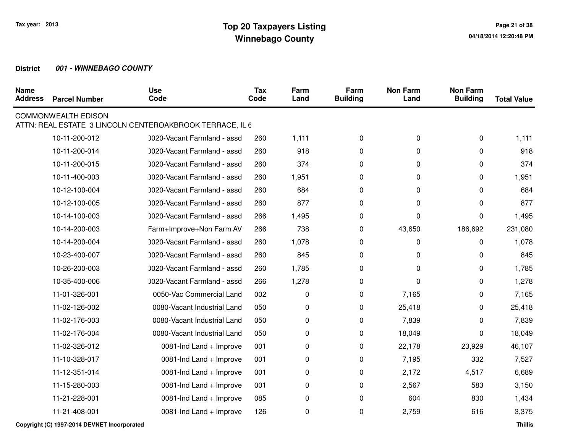| <b>Name</b><br><b>Address</b> | <b>Parcel Number</b>       | <b>Use</b><br>Code                                       | <b>Tax</b><br>Code | Farm<br>Land | Farm<br><b>Building</b> | <b>Non Farm</b><br>Land | <b>Non Farm</b><br><b>Building</b> | <b>Total Value</b> |
|-------------------------------|----------------------------|----------------------------------------------------------|--------------------|--------------|-------------------------|-------------------------|------------------------------------|--------------------|
|                               | <b>COMMONWEALTH EDISON</b> | ATTN: REAL ESTATE 3 LINCOLN CENTEROAKBROOK TERRACE, IL 6 |                    |              |                         |                         |                                    |                    |
|                               | 10-11-200-012              | 0020-Vacant Farmland - assd                              | 260                | 1,111        | 0                       | 0                       | $\mathbf 0$                        | 1,111              |
|                               | 10-11-200-014              | 0020-Vacant Farmland - assd                              | 260                | 918          | 0                       | 0                       | 0                                  | 918                |
|                               | 10-11-200-015              | 0020-Vacant Farmland - assd                              | 260                | 374          | 0                       | 0                       | 0                                  | 374                |
|                               | 10-11-400-003              | 0020-Vacant Farmland - assd                              | 260                | 1,951        | 0                       | 0                       | 0                                  | 1,951              |
|                               | 10-12-100-004              | 0020-Vacant Farmland - assd                              | 260                | 684          | 0                       | 0                       | 0                                  | 684                |
|                               | 10-12-100-005              | 0020-Vacant Farmland - assd                              | 260                | 877          | 0                       | 0                       | 0                                  | 877                |
|                               | 10-14-100-003              | 0020-Vacant Farmland - assd                              | 266                | 1,495        | 0                       | 0                       | 0                                  | 1,495              |
|                               | 10-14-200-003              | Farm+Improve+Non Farm AV                                 | 266                | 738          | 0                       | 43,650                  | 186,692                            | 231,080            |
|                               | 10-14-200-004              | 0020-Vacant Farmland - assd                              | 260                | 1,078        | 0                       | 0                       | 0                                  | 1,078              |
|                               | 10-23-400-007              | 0020-Vacant Farmland - assd                              | 260                | 845          | 0                       | 0                       | 0                                  | 845                |
|                               | 10-26-200-003              | 0020-Vacant Farmland - assd                              | 260                | 1,785        | 0                       | 0                       | 0                                  | 1,785              |
|                               | 10-35-400-006              | 0020-Vacant Farmland - assd                              | 266                | 1,278        | 0                       | 0                       | 0                                  | 1,278              |
|                               | 11-01-326-001              | 0050-Vac Commercial Land                                 | 002                | 0            | 0                       | 7,165                   | 0                                  | 7,165              |
|                               | 11-02-126-002              | 0080-Vacant Industrial Land                              | 050                | 0            | 0                       | 25,418                  | 0                                  | 25,418             |
|                               | 11-02-176-003              | 0080-Vacant Industrial Land                              | 050                | 0            | 0                       | 7,839                   | 0                                  | 7,839              |
|                               | 11-02-176-004              | 0080-Vacant Industrial Land                              | 050                | 0            | 0                       | 18,049                  | 0                                  | 18,049             |
|                               | 11-02-326-012              | 0081-Ind Land + Improve                                  | 001                | 0            | 0                       | 22,178                  | 23,929                             | 46,107             |
|                               | 11-10-328-017              | 0081-Ind Land + Improve                                  | 001                | 0            | 0                       | 7,195                   | 332                                | 7,527              |
|                               | 11-12-351-014              | 0081-Ind Land + Improve                                  | 001                | 0            | 0                       | 2,172                   | 4,517                              | 6,689              |
|                               | 11-15-280-003              | 0081-Ind Land + Improve                                  | 001                | 0            | 0                       | 2,567                   | 583                                | 3,150              |
|                               | 11-21-228-001              | 0081-Ind Land + Improve                                  | 085                | 0            | 0                       | 604                     | 830                                | 1,434              |
|                               | 11-21-408-001              | 0081-Ind Land + Improve                                  | 126                | 0            | 0                       | 2,759                   | 616                                | 3,375              |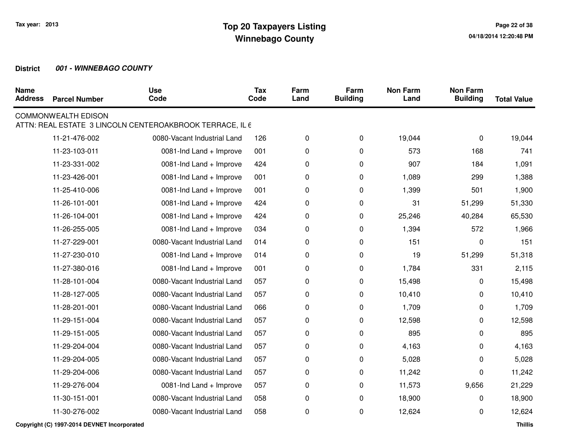| <b>Name</b><br><b>Address</b> | <b>Parcel Number</b>       | <b>Use</b><br>Code                                       | <b>Tax</b><br>Code | Farm<br>Land | Farm<br><b>Building</b> | <b>Non Farm</b><br>Land | <b>Non Farm</b><br><b>Building</b> | <b>Total Value</b> |
|-------------------------------|----------------------------|----------------------------------------------------------|--------------------|--------------|-------------------------|-------------------------|------------------------------------|--------------------|
|                               | <b>COMMONWEALTH EDISON</b> | ATTN: REAL ESTATE 3 LINCOLN CENTEROAKBROOK TERRACE, IL 6 |                    |              |                         |                         |                                    |                    |
|                               | 11-21-476-002              | 0080-Vacant Industrial Land                              | 126                | 0            | 0                       | 19,044                  | 0                                  | 19,044             |
|                               | 11-23-103-011              | 0081-Ind Land + Improve                                  | 001                | 0            | 0                       | 573                     | 168                                | 741                |
|                               | 11-23-331-002              | 0081-Ind Land + Improve                                  | 424                | 0            | 0                       | 907                     | 184                                | 1,091              |
|                               | 11-23-426-001              | 0081-Ind Land + Improve                                  | 001                | 0            | 0                       | 1,089                   | 299                                | 1,388              |
|                               | 11-25-410-006              | 0081-Ind Land + Improve                                  | 001                | 0            | 0                       | 1,399                   | 501                                | 1,900              |
|                               | 11-26-101-001              | 0081-Ind Land + Improve                                  | 424                | 0            | 0                       | 31                      | 51,299                             | 51,330             |
|                               | 11-26-104-001              | 0081-Ind Land + Improve                                  | 424                | 0            | 0                       | 25,246                  | 40,284                             | 65,530             |
|                               | 11-26-255-005              | 0081-Ind Land + Improve                                  | 034                | 0            | 0                       | 1,394                   | 572                                | 1,966              |
|                               | 11-27-229-001              | 0080-Vacant Industrial Land                              | 014                | 0            | 0                       | 151                     | 0                                  | 151                |
|                               | 11-27-230-010              | 0081-Ind Land + Improve                                  | 014                | 0            | 0                       | 19                      | 51,299                             | 51,318             |
|                               | 11-27-380-016              | 0081-Ind Land + Improve                                  | 001                | 0            | 0                       | 1,784                   | 331                                | 2,115              |
|                               | 11-28-101-004              | 0080-Vacant Industrial Land                              | 057                | 0            | 0                       | 15,498                  | 0                                  | 15,498             |
|                               | 11-28-127-005              | 0080-Vacant Industrial Land                              | 057                | 0            | 0                       | 10,410                  | 0                                  | 10,410             |
|                               | 11-28-201-001              | 0080-Vacant Industrial Land                              | 066                | 0            | 0                       | 1,709                   | 0                                  | 1,709              |
|                               | 11-29-151-004              | 0080-Vacant Industrial Land                              | 057                | 0            | 0                       | 12,598                  | 0                                  | 12,598             |
|                               | 11-29-151-005              | 0080-Vacant Industrial Land                              | 057                | 0            | 0                       | 895                     | 0                                  | 895                |
|                               | 11-29-204-004              | 0080-Vacant Industrial Land                              | 057                | 0            | 0                       | 4,163                   | 0                                  | 4,163              |
|                               | 11-29-204-005              | 0080-Vacant Industrial Land                              | 057                | 0            | 0                       | 5,028                   | 0                                  | 5,028              |
|                               | 11-29-204-006              | 0080-Vacant Industrial Land                              | 057                | 0            | 0                       | 11,242                  | 0                                  | 11,242             |
|                               | 11-29-276-004              | 0081-Ind Land + Improve                                  | 057                | 0            | 0                       | 11,573                  | 9,656                              | 21,229             |
|                               | 11-30-151-001              | 0080-Vacant Industrial Land                              | 058                | 0            | 0                       | 18,900                  | 0                                  | 18,900             |
|                               | 11-30-276-002              | 0080-Vacant Industrial Land                              | 058                | 0            | 0                       | 12,624                  | 0                                  | 12,624             |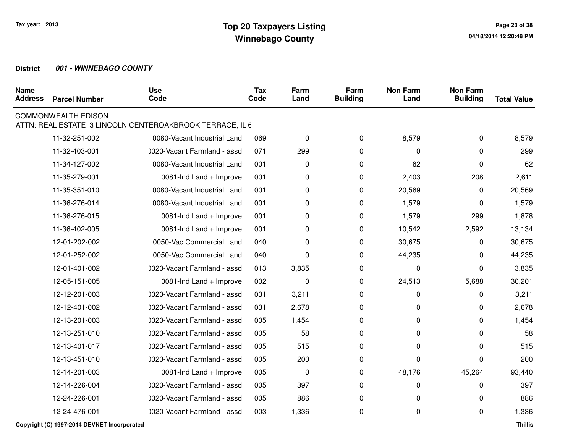| <b>Name</b><br><b>Address</b> | <b>Parcel Number</b>       | <b>Use</b><br>Code                                       | <b>Tax</b><br>Code | Farm<br>Land | Farm<br><b>Building</b> | <b>Non Farm</b><br>Land | <b>Non Farm</b><br><b>Building</b> | <b>Total Value</b> |
|-------------------------------|----------------------------|----------------------------------------------------------|--------------------|--------------|-------------------------|-------------------------|------------------------------------|--------------------|
|                               | <b>COMMONWEALTH EDISON</b> | ATTN: REAL ESTATE 3 LINCOLN CENTEROAKBROOK TERRACE, IL 6 |                    |              |                         |                         |                                    |                    |
|                               | 11-32-251-002              | 0080-Vacant Industrial Land                              | 069                | 0            | 0                       | 8,579                   | 0                                  | 8,579              |
|                               | 11-32-403-001              | 0020-Vacant Farmland - assd                              | 071                | 299          | 0                       | 0                       | 0                                  | 299                |
|                               | 11-34-127-002              | 0080-Vacant Industrial Land                              | 001                | 0            | 0                       | 62                      | 0                                  | 62                 |
|                               | 11-35-279-001              | 0081-Ind Land + Improve                                  | 001                | 0            | 0                       | 2,403                   | 208                                | 2,611              |
|                               | 11-35-351-010              | 0080-Vacant Industrial Land                              | 001                | 0            | 0                       | 20,569                  | 0                                  | 20,569             |
|                               | 11-36-276-014              | 0080-Vacant Industrial Land                              | 001                | 0            | 0                       | 1,579                   | 0                                  | 1,579              |
|                               | 11-36-276-015              | 0081-Ind Land + Improve                                  | 001                | 0            | 0                       | 1,579                   | 299                                | 1,878              |
|                               | 11-36-402-005              | 0081-Ind Land + Improve                                  | 001                | 0            | 0                       | 10,542                  | 2,592                              | 13,134             |
|                               | 12-01-202-002              | 0050-Vac Commercial Land                                 | 040                | 0            | 0                       | 30,675                  | 0                                  | 30,675             |
|                               | 12-01-252-002              | 0050-Vac Commercial Land                                 | 040                | 0            | 0                       | 44,235                  | 0                                  | 44,235             |
|                               | 12-01-401-002              | 0020-Vacant Farmland - assd                              | 013                | 3,835        | 0                       | 0                       | 0                                  | 3,835              |
|                               | 12-05-151-005              | 0081-Ind Land + Improve                                  | 002                | 0            | 0                       | 24,513                  | 5,688                              | 30,201             |
|                               | 12-12-201-003              | 0020-Vacant Farmland - assd                              | 031                | 3,211        | 0                       | 0                       | 0                                  | 3,211              |
|                               | 12-12-401-002              | 0020-Vacant Farmland - assd                              | 031                | 2,678        | 0                       | 0                       | 0                                  | 2,678              |
|                               | 12-13-201-003              | 0020-Vacant Farmland - assd                              | 005                | 1,454        | 0                       | 0                       | 0                                  | 1,454              |
|                               | 12-13-251-010              | 0020-Vacant Farmland - assd                              | 005                | 58           | 0                       | 0                       | 0                                  | 58                 |
|                               | 12-13-401-017              | 0020-Vacant Farmland - assd                              | 005                | 515          | 0                       | 0                       | 0                                  | 515                |
|                               | 12-13-451-010              | 0020-Vacant Farmland - assd                              | 005                | 200          | 0                       | 0                       | 0                                  | 200                |
|                               | 12-14-201-003              | 0081-Ind Land + Improve                                  | 005                | 0            | 0                       | 48,176                  | 45,264                             | 93,440             |
|                               | 12-14-226-004              | 0020-Vacant Farmland - assd                              | 005                | 397          | 0                       | 0                       | 0                                  | 397                |
|                               | 12-24-226-001              | 0020-Vacant Farmland - assd                              | 005                | 886          | 0                       | 0                       | 0                                  | 886                |
|                               | 12-24-476-001              | 0020-Vacant Farmland - assd                              | 003                | 1,336        | 0                       | 0                       | 0                                  | 1,336              |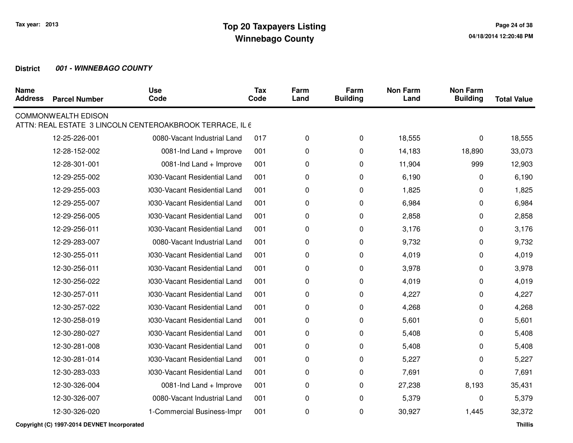| <b>Name</b><br><b>Address</b> | <b>Parcel Number</b>       | <b>Use</b><br>Code                                       | <b>Tax</b><br>Code | Farm<br>Land | Farm<br><b>Building</b> | <b>Non Farm</b><br>Land | <b>Non Farm</b><br><b>Building</b> | <b>Total Value</b> |
|-------------------------------|----------------------------|----------------------------------------------------------|--------------------|--------------|-------------------------|-------------------------|------------------------------------|--------------------|
|                               | <b>COMMONWEALTH EDISON</b> | ATTN: REAL ESTATE 3 LINCOLN CENTEROAKBROOK TERRACE, IL 6 |                    |              |                         |                         |                                    |                    |
|                               | 12-25-226-001              | 0080-Vacant Industrial Land                              | 017                | 0            | 0                       | 18,555                  | 0                                  | 18,555             |
|                               | 12-28-152-002              | 0081-Ind Land + Improve                                  | 001                | 0            | 0                       | 14,183                  | 18,890                             | 33,073             |
|                               | 12-28-301-001              | 0081-Ind Land + Improve                                  | 001                | 0            | 0                       | 11,904                  | 999                                | 12,903             |
|                               | 12-29-255-002              | 0030-Vacant Residential Land                             | 001                | 0            | 0                       | 6,190                   | 0                                  | 6,190              |
|                               | 12-29-255-003              | 0030-Vacant Residential Land                             | 001                | 0            | 0                       | 1,825                   | 0                                  | 1,825              |
|                               | 12-29-255-007              | 0030-Vacant Residential Land                             | 001                | 0            | 0                       | 6,984                   | 0                                  | 6,984              |
|                               | 12-29-256-005              | 0030-Vacant Residential Land                             | 001                | 0            | 0                       | 2,858                   | 0                                  | 2,858              |
|                               | 12-29-256-011              | 0030-Vacant Residential Land                             | 001                | 0            | 0                       | 3,176                   | 0                                  | 3,176              |
|                               | 12-29-283-007              | 0080-Vacant Industrial Land                              | 001                | 0            | 0                       | 9,732                   | 0                                  | 9,732              |
|                               | 12-30-255-011              | 0030-Vacant Residential Land                             | 001                | 0            | 0                       | 4,019                   | 0                                  | 4,019              |
|                               | 12-30-256-011              | 0030-Vacant Residential Land                             | 001                | 0            | 0                       | 3,978                   | 0                                  | 3,978              |
|                               | 12-30-256-022              | 0030-Vacant Residential Land                             | 001                | 0            | 0                       | 4,019                   | 0                                  | 4,019              |
|                               | 12-30-257-011              | 0030-Vacant Residential Land                             | 001                | 0            | 0                       | 4,227                   | 0                                  | 4,227              |
|                               | 12-30-257-022              | 0030-Vacant Residential Land                             | 001                | 0            | 0                       | 4,268                   | 0                                  | 4,268              |
|                               | 12-30-258-019              | 0030-Vacant Residential Land                             | 001                | 0            | 0                       | 5,601                   | 0                                  | 5,601              |
|                               | 12-30-280-027              | 0030-Vacant Residential Land                             | 001                | 0            | 0                       | 5,408                   | 0                                  | 5,408              |
|                               | 12-30-281-008              | 0030-Vacant Residential Land                             | 001                | 0            | 0                       | 5,408                   | 0                                  | 5,408              |
|                               | 12-30-281-014              | 0030-Vacant Residential Land                             | 001                | 0            | 0                       | 5,227                   | 0                                  | 5,227              |
|                               | 12-30-283-033              | 0030-Vacant Residential Land                             | 001                | 0            | 0                       | 7,691                   | 0                                  | 7,691              |
|                               | 12-30-326-004              | 0081-Ind Land + Improve                                  | 001                | 0            | 0                       | 27,238                  | 8,193                              | 35,431             |
|                               | 12-30-326-007              | 0080-Vacant Industrial Land                              | 001                | 0            | 0                       | 5,379                   | 0                                  | 5,379              |
|                               | 12-30-326-020              | 1-Commercial Business-Impr                               | 001                | 0            | 0                       | 30,927                  | 1,445                              | 32,372             |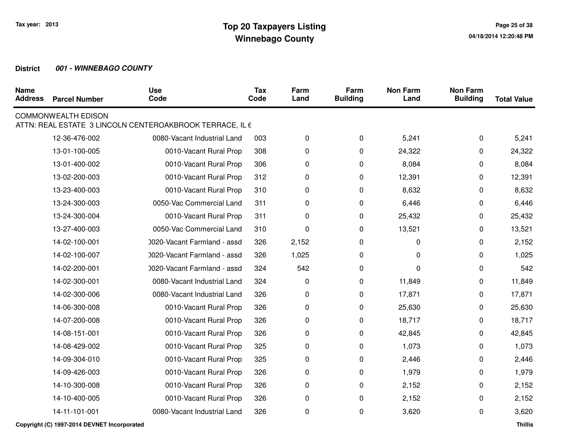| <b>Name</b><br><b>Address</b> | <b>Parcel Number</b>       | <b>Use</b><br>Code                                       | <b>Tax</b><br>Code | Farm<br>Land | Farm<br><b>Building</b> | <b>Non Farm</b><br>Land | <b>Non Farm</b><br><b>Building</b> | <b>Total Value</b> |
|-------------------------------|----------------------------|----------------------------------------------------------|--------------------|--------------|-------------------------|-------------------------|------------------------------------|--------------------|
|                               | <b>COMMONWEALTH EDISON</b> | ATTN: REAL ESTATE 3 LINCOLN CENTEROAKBROOK TERRACE, IL 6 |                    |              |                         |                         |                                    |                    |
|                               | 12-36-476-002              | 0080-Vacant Industrial Land                              | 003                | 0            | 0                       | 5,241                   | 0                                  | 5,241              |
|                               | 13-01-100-005              | 0010-Vacant Rural Prop                                   | 308                | 0            | 0                       | 24,322                  | 0                                  | 24,322             |
|                               | 13-01-400-002              | 0010-Vacant Rural Prop                                   | 306                | 0            | 0                       | 8,084                   | 0                                  | 8,084              |
|                               | 13-02-200-003              | 0010-Vacant Rural Prop                                   | 312                | 0            | 0                       | 12,391                  | 0                                  | 12,391             |
|                               | 13-23-400-003              | 0010-Vacant Rural Prop                                   | 310                | 0            | 0                       | 8,632                   | 0                                  | 8,632              |
|                               | 13-24-300-003              | 0050-Vac Commercial Land                                 | 311                | 0            | 0                       | 6,446                   | 0                                  | 6,446              |
|                               | 13-24-300-004              | 0010-Vacant Rural Prop                                   | 311                | 0            | 0                       | 25,432                  | 0                                  | 25,432             |
|                               | 13-27-400-003              | 0050-Vac Commercial Land                                 | 310                | 0            | 0                       | 13,521                  | 0                                  | 13,521             |
|                               | 14-02-100-001              | 0020-Vacant Farmland - assd                              | 326                | 2,152        | 0                       | 0                       | 0                                  | 2,152              |
|                               | 14-02-100-007              | 0020-Vacant Farmland - assd                              | 326                | 1,025        | 0                       | 0                       | 0                                  | 1,025              |
|                               | 14-02-200-001              | 0020-Vacant Farmland - assd                              | 324                | 542          | 0                       | 0                       | 0                                  | 542                |
|                               | 14-02-300-001              | 0080-Vacant Industrial Land                              | 324                | 0            | 0                       | 11,849                  | 0                                  | 11,849             |
|                               | 14-02-300-006              | 0080-Vacant Industrial Land                              | 326                | 0            | 0                       | 17,871                  | 0                                  | 17,871             |
|                               | 14-06-300-008              | 0010-Vacant Rural Prop                                   | 326                | 0            | 0                       | 25,630                  | 0                                  | 25,630             |
|                               | 14-07-200-008              | 0010-Vacant Rural Prop                                   | 326                | 0            | 0                       | 18,717                  | 0                                  | 18,717             |
|                               | 14-08-151-001              | 0010-Vacant Rural Prop                                   | 326                | 0            | 0                       | 42,845                  | 0                                  | 42,845             |
|                               | 14-08-429-002              | 0010-Vacant Rural Prop                                   | 325                | 0            | 0                       | 1,073                   | 0                                  | 1,073              |
|                               | 14-09-304-010              | 0010-Vacant Rural Prop                                   | 325                | 0            | 0                       | 2,446                   | 0                                  | 2,446              |
|                               | 14-09-426-003              | 0010-Vacant Rural Prop                                   | 326                | 0            | 0                       | 1,979                   | 0                                  | 1,979              |
|                               | 14-10-300-008              | 0010-Vacant Rural Prop                                   | 326                | 0            | 0                       | 2,152                   | 0                                  | 2,152              |
|                               | 14-10-400-005              | 0010-Vacant Rural Prop                                   | 326                | 0            | 0                       | 2,152                   | 0                                  | 2,152              |
|                               | 14-11-101-001              | 0080-Vacant Industrial Land                              | 326                | 0            | 0                       | 3,620                   | 0                                  | 3,620              |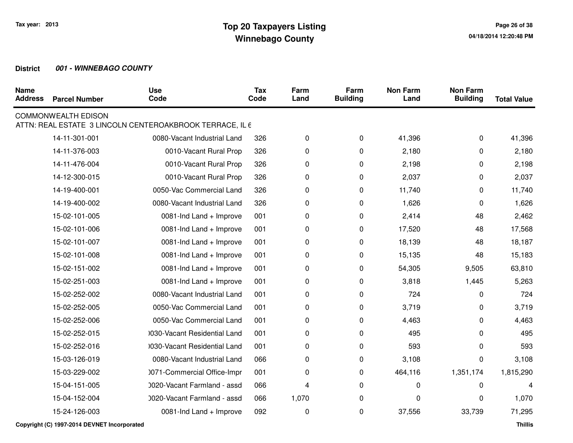| <b>Name</b><br><b>Address</b> | <b>Parcel Number</b>       | <b>Use</b><br>Code                                       | <b>Tax</b><br>Code | Farm<br>Land | Farm<br><b>Building</b> | <b>Non Farm</b><br>Land | <b>Non Farm</b><br><b>Building</b> | <b>Total Value</b> |
|-------------------------------|----------------------------|----------------------------------------------------------|--------------------|--------------|-------------------------|-------------------------|------------------------------------|--------------------|
|                               | <b>COMMONWEALTH EDISON</b> |                                                          |                    |              |                         |                         |                                    |                    |
|                               |                            | ATTN: REAL ESTATE 3 LINCOLN CENTEROAKBROOK TERRACE, IL 6 |                    |              |                         |                         |                                    |                    |
|                               | 14-11-301-001              | 0080-Vacant Industrial Land                              | 326                | 0            | 0                       | 41,396                  | 0                                  | 41,396             |
|                               | 14-11-376-003              | 0010-Vacant Rural Prop                                   | 326                | 0            | 0                       | 2,180                   | 0                                  | 2,180              |
|                               | 14-11-476-004              | 0010-Vacant Rural Prop                                   | 326                | 0            | 0                       | 2,198                   | 0                                  | 2,198              |
|                               | 14-12-300-015              | 0010-Vacant Rural Prop                                   | 326                | 0            | 0                       | 2,037                   | 0                                  | 2,037              |
|                               | 14-19-400-001              | 0050-Vac Commercial Land                                 | 326                | 0            | 0                       | 11,740                  | 0                                  | 11,740             |
|                               | 14-19-400-002              | 0080-Vacant Industrial Land                              | 326                | 0            | 0                       | 1,626                   | 0                                  | 1,626              |
|                               | 15-02-101-005              | 0081-Ind Land + Improve                                  | 001                | 0            | 0                       | 2,414                   | 48                                 | 2,462              |
|                               | 15-02-101-006              | 0081-Ind Land + Improve                                  | 001                | 0            | 0                       | 17,520                  | 48                                 | 17,568             |
|                               | 15-02-101-007              | 0081-Ind Land + Improve                                  | 001                | 0            | 0                       | 18,139                  | 48                                 | 18,187             |
|                               | 15-02-101-008              | 0081-Ind Land + Improve                                  | 001                | 0            | 0                       | 15,135                  | 48                                 | 15,183             |
|                               | 15-02-151-002              | 0081-Ind Land + Improve                                  | 001                | 0            | 0                       | 54,305                  | 9,505                              | 63,810             |
|                               | 15-02-251-003              | 0081-Ind Land + Improve                                  | 001                | 0            | 0                       | 3,818                   | 1,445                              | 5,263              |
|                               | 15-02-252-002              | 0080-Vacant Industrial Land                              | 001                | 0            | 0                       | 724                     | 0                                  | 724                |
|                               | 15-02-252-005              | 0050-Vac Commercial Land                                 | 001                | 0            | 0                       | 3,719                   | 0                                  | 3,719              |
|                               | 15-02-252-006              | 0050-Vac Commercial Land                                 | 001                | 0            | 0                       | 4,463                   | 0                                  | 4,463              |
|                               | 15-02-252-015              | 0030-Vacant Residential Land                             | 001                | 0            | 0                       | 495                     | 0                                  | 495                |
|                               | 15-02-252-016              | 0030-Vacant Residential Land                             | 001                | 0            | 0                       | 593                     | 0                                  | 593                |
|                               | 15-03-126-019              | 0080-Vacant Industrial Land                              | 066                | 0            | 0                       | 3,108                   | 0                                  | 3,108              |
|                               | 15-03-229-002              | 0071-Commercial Office-Impr                              | 001                | 0            | 0                       | 464,116                 | 1,351,174                          | 1,815,290          |
|                               | 15-04-151-005              | 0020-Vacant Farmland - assd                              | 066                | 4            | 0                       | 0                       | 0                                  | 4                  |
|                               | 15-04-152-004              | 0020-Vacant Farmland - assd                              | 066                | 1,070        | 0                       | 0                       | 0                                  | 1,070              |
|                               | 15-24-126-003              | 0081-Ind Land + Improve                                  | 092                | 0            | 0                       | 37,556                  | 33,739                             | 71,295             |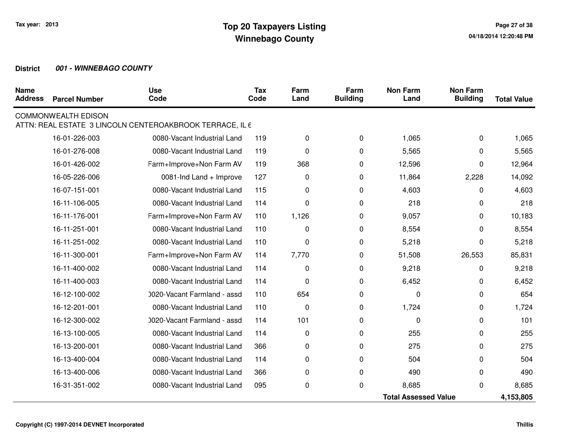| <b>Name</b><br><b>Address</b> | <b>Parcel Number</b>        | <b>Use</b><br>Code                                       | <b>Tax</b><br>Code | Farm<br>Land | Farm<br><b>Building</b> | <b>Non Farm</b><br>Land | <b>Non Farm</b><br><b>Building</b> | <b>Total Value</b> |
|-------------------------------|-----------------------------|----------------------------------------------------------|--------------------|--------------|-------------------------|-------------------------|------------------------------------|--------------------|
|                               | <b>COMMONWEALTH EDISON</b>  |                                                          |                    |              |                         |                         |                                    |                    |
|                               |                             | ATTN: REAL ESTATE 3 LINCOLN CENTEROAKBROOK TERRACE, IL 6 |                    |              |                         |                         |                                    |                    |
|                               | 16-01-226-003               | 0080-Vacant Industrial Land                              | 119                | 0            | 0                       | 1,065                   | 0                                  | 1,065              |
|                               | 16-01-276-008               | 0080-Vacant Industrial Land                              | 119                | 0            | 0                       | 5,565                   | 0                                  | 5,565              |
|                               | 16-01-426-002               | Farm+Improve+Non Farm AV                                 | 119                | 368          | 0                       | 12,596                  | 0                                  | 12,964             |
|                               | 16-05-226-006               | 0081-Ind Land + Improve                                  | 127                | $\pmb{0}$    | 0                       | 11,864                  | 2,228                              | 14,092             |
|                               | 16-07-151-001               | 0080-Vacant Industrial Land                              | 115                | 0            | 0                       | 4,603                   | 0                                  | 4,603              |
|                               | 16-11-106-005               | 0080-Vacant Industrial Land                              | 114                | 0            | 0                       | 218                     | 0                                  | 218                |
|                               | 16-11-176-001               | Farm+Improve+Non Farm AV                                 | 110                | 1,126        | 0                       | 9,057                   | 0                                  | 10,183             |
|                               | 16-11-251-001               | 0080-Vacant Industrial Land                              | 110                | 0            | 0                       | 8,554                   | 0                                  | 8,554              |
|                               | 16-11-251-002               | 0080-Vacant Industrial Land                              | 110                | $\pmb{0}$    | 0                       | 5,218                   | 0                                  | 5,218              |
|                               | 16-11-300-001               | Farm+Improve+Non Farm AV                                 | 114                | 7,770        | 0                       | 51,508                  | 26,553                             | 85,831             |
|                               | 16-11-400-002               | 0080-Vacant Industrial Land                              | 114                | $\pmb{0}$    | $\mathbf 0$             | 9,218                   | 0                                  | 9,218              |
|                               | 16-11-400-003               | 0080-Vacant Industrial Land                              | 114                | $\mathbf 0$  | 0                       | 6,452                   | 0                                  | 6,452              |
|                               | 16-12-100-002               | 0020-Vacant Farmland - assd                              | 110                | 654          | 0                       | $\Omega$                | 0                                  | 654                |
|                               | 16-12-201-001               | 0080-Vacant Industrial Land                              | 110                | $\mathbf 0$  | 0                       | 1,724                   | 0                                  | 1,724              |
|                               | 16-12-300-002               | 0020-Vacant Farmland - assd                              | 114                | 101          | 0                       | $\Omega$                | $\Omega$                           | 101                |
|                               | 16-13-100-005               | 0080-Vacant Industrial Land                              | 114                | 0            | 0                       | 255                     | 0                                  | 255                |
|                               | 16-13-200-001               | 0080-Vacant Industrial Land                              | 366                | 0            | 0                       | 275                     | 0                                  | 275                |
|                               | 16-13-400-004               | 0080-Vacant Industrial Land                              | 114                | 0            | 0                       | 504                     | 0                                  | 504                |
|                               | 16-13-400-006               | 0080-Vacant Industrial Land                              | 366                | 0            | 0                       | 490                     | 0                                  | 490                |
|                               | 16-31-351-002               | 0080-Vacant Industrial Land                              | 095                | 0            | 0                       | 8,685                   | 0                                  | 8,685              |
|                               | <b>Total Assessed Value</b> |                                                          |                    |              |                         | 4,153,805               |                                    |                    |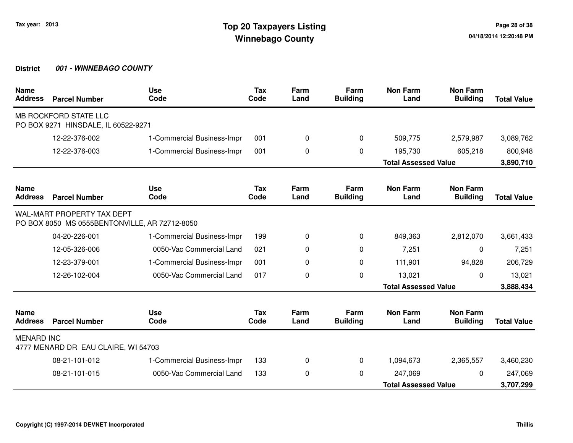| <b>Name</b><br><b>Address</b> | <b>Parcel Number</b>                                                        | <b>Use</b><br>Code         | <b>Tax</b><br>Code | Farm<br>Land | Farm<br><b>Building</b> | <b>Non Farm</b><br>Land     | <b>Non Farm</b><br><b>Building</b> | <b>Total Value</b> |
|-------------------------------|-----------------------------------------------------------------------------|----------------------------|--------------------|--------------|-------------------------|-----------------------------|------------------------------------|--------------------|
|                               | MB ROCKFORD STATE LLC<br>PO BOX 9271 HINSDALE, IL 60522-9271                |                            |                    |              |                         |                             |                                    |                    |
|                               | 12-22-376-002                                                               | 1-Commercial Business-Impr | 001                | 0            | $\mathbf 0$             | 509,775                     | 2,579,987                          | 3,089,762          |
|                               | 12-22-376-003                                                               | 1-Commercial Business-Impr | 001                | 0            | 0                       | 195,730                     | 605,218                            | 800,948            |
|                               |                                                                             |                            |                    |              |                         | <b>Total Assessed Value</b> |                                    | 3,890,710          |
| <b>Name</b><br><b>Address</b> | <b>Parcel Number</b>                                                        | <b>Use</b><br>Code         | <b>Tax</b><br>Code | Farm<br>Land | Farm<br><b>Building</b> | <b>Non Farm</b><br>Land     | <b>Non Farm</b><br><b>Building</b> | <b>Total Value</b> |
|                               | WAL-MART PROPERTY TAX DEPT<br>PO BOX 8050 MS 0555BENTONVILLE, AR 72712-8050 |                            |                    |              |                         |                             |                                    |                    |
|                               | 04-20-226-001                                                               | 1-Commercial Business-Impr | 199                | 0            | 0                       | 849,363                     | 2,812,070                          | 3,661,433          |
|                               | 12-05-326-006                                                               | 0050-Vac Commercial Land   | 021                | 0            | 0                       | 7,251                       | 0                                  | 7,251              |
|                               | 12-23-379-001                                                               | 1-Commercial Business-Impr | 001                | 0            | $\Omega$                | 111,901                     | 94,828                             | 206,729            |
|                               | 12-26-102-004                                                               | 0050-Vac Commercial Land   | 017                | 0            | 0                       | 13,021                      | $\mathbf{0}$                       | 13,021             |
|                               |                                                                             |                            |                    |              |                         | <b>Total Assessed Value</b> |                                    | 3,888,434          |
| <b>Name</b><br><b>Address</b> | <b>Parcel Number</b>                                                        | <b>Use</b><br>Code         | <b>Tax</b><br>Code | Farm<br>Land | Farm<br><b>Building</b> | <b>Non Farm</b><br>Land     | <b>Non Farm</b><br><b>Building</b> | <b>Total Value</b> |
| <b>MENARD INC</b>             | 4777 MENARD DR EAU CLAIRE, WI 54703                                         |                            |                    |              |                         |                             |                                    |                    |
|                               | 08-21-101-012                                                               | 1-Commercial Business-Impr | 133                | 0            | $\Omega$                | 1,094,673                   | 2,365,557                          | 3,460,230          |
|                               | 08-21-101-015                                                               | 0050-Vac Commercial Land   | 133                | 0            | $\Omega$                | 247,069                     | $\mathbf{0}$                       | 247,069            |
|                               |                                                                             |                            |                    |              |                         | <b>Total Assessed Value</b> |                                    | 3,707,299          |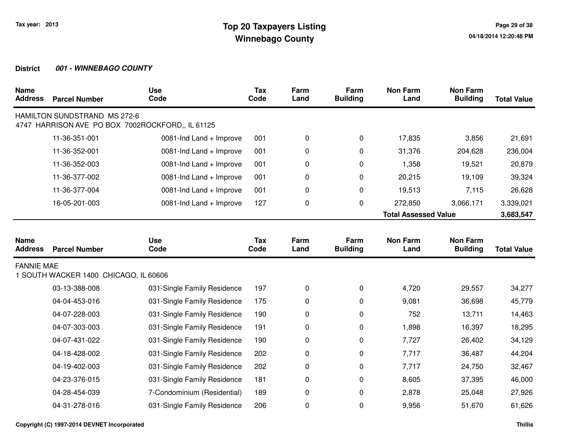| <b>Name</b><br><b>Address</b> | <b>Parcel Number</b>                  | <b>Use</b><br>Code                               | <b>Tax</b><br>Code | Farm<br>Land | Farm<br><b>Building</b> | <b>Non Farm</b><br>Land     | <b>Non Farm</b><br><b>Building</b> | <b>Total Value</b> |
|-------------------------------|---------------------------------------|--------------------------------------------------|--------------------|--------------|-------------------------|-----------------------------|------------------------------------|--------------------|
|                               | HAMILTON SUNDSTRAND MS 272-6          | 4747 HARRISON AVE PO BOX 7002ROCKFORD,, IL 61125 |                    |              |                         |                             |                                    |                    |
|                               | 11-36-351-001                         | 0081-Ind Land + Improve                          | 001                | 0            | 0                       | 17,835                      | 3,856                              | 21,691             |
|                               | 11-36-352-001                         | 0081-Ind Land + Improve                          | 001                | 0            | 0                       | 31,376                      | 204,628                            | 236,004            |
|                               | 11-36-352-003                         | 0081-Ind Land + Improve                          | 001                | 0            | 0                       | 1,358                       | 19,521                             | 20,879             |
|                               | 11-36-377-002                         | 0081-Ind Land + Improve                          | 001                | 0            | 0                       | 20,215                      | 19,109                             | 39,324             |
|                               | 11-36-377-004                         | 0081-Ind Land + Improve                          | 001                | 0            | 0                       | 19,513                      | 7,115                              | 26,628             |
|                               | 16-05-201-003                         | 0081-Ind Land + Improve                          | 127                | 0            | 0                       | 272,850                     | 3,066,171                          | 3,339,021          |
|                               |                                       |                                                  |                    |              |                         | <b>Total Assessed Value</b> |                                    | 3,683,547          |
|                               |                                       |                                                  |                    |              |                         |                             |                                    |                    |
| <b>Name</b><br><b>Address</b> | <b>Parcel Number</b>                  | <b>Use</b><br>Code                               | Tax<br>Code        | Farm<br>Land | Farm<br><b>Building</b> | <b>Non Farm</b><br>Land     | <b>Non Farm</b><br><b>Building</b> | <b>Total Value</b> |
| <b>FANNIE MAE</b>             | 1 SOUTH WACKER 1400 CHICAGO, IL 60606 |                                                  |                    |              |                         |                             |                                    |                    |
|                               | 03-13-388-008                         | 031-Single Family Residence                      | 197                | 0            | 0                       | 4,720                       | 29,557                             | 34,277             |
|                               | 04-04-453-016                         | 031-Single Family Residence                      | 175                | 0            | 0                       | 9,081                       | 36,698                             | 45,779             |
|                               | 04-07-228-003                         | 031-Single Family Residence                      | 190                | 0            | 0                       | 752                         | 13,711                             | 14,463             |
|                               | 04-07-303-003                         | 031-Single Family Residence                      | 191                | 0            | 0                       | 1,898                       | 16,397                             | 18,295             |
|                               | 04-07-431-022                         | 031-Single Family Residence                      | 190                | 0            | 0                       | 7,727                       | 26,402                             | 34,129             |
|                               | 04-18-428-002                         | 031-Single Family Residence                      | 202                | 0            | 0                       | 7,717                       | 36,487                             | 44,204             |
|                               | 04-19-402-003                         | 031-Single Family Residence                      | 202                | 0            | 0                       | 7,717                       | 24,750                             | 32,467             |
|                               | 04-23-376-015                         | 031-Single Family Residence                      | 181                | 0            | 0                       | 8,605                       | 37,395                             | 46,000             |
|                               | 04-28-454-039                         | 7-Condominium (Residential)                      | 189                | 0            | 0                       | 2,878                       | 25,048                             | 27,926             |
|                               | 04-31-278-016                         | 031-Single Family Residence                      | 206                | 0            | 0                       | 9,956                       | 51,670                             | 61,626             |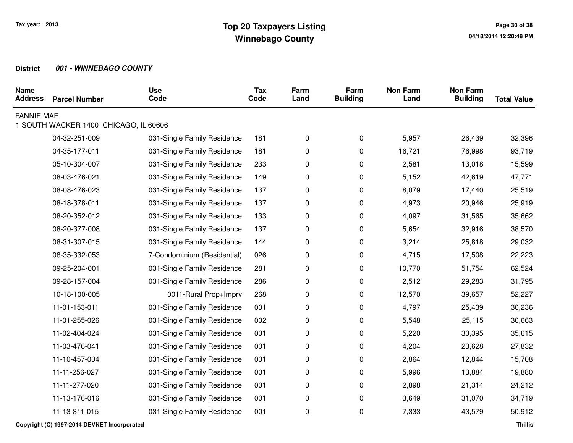| <b>Name</b><br><b>Address</b> | <b>Parcel Number</b>                  | <b>Use</b><br>Code          | <b>Tax</b><br>Code | Farm<br>Land | Farm<br><b>Building</b> | <b>Non Farm</b><br>Land | <b>Non Farm</b><br><b>Building</b> | <b>Total Value</b> |
|-------------------------------|---------------------------------------|-----------------------------|--------------------|--------------|-------------------------|-------------------------|------------------------------------|--------------------|
| <b>FANNIE MAE</b>             | 1 SOUTH WACKER 1400 CHICAGO, IL 60606 |                             |                    |              |                         |                         |                                    |                    |
|                               | 04-32-251-009                         | 031-Single Family Residence | 181                | 0            | 0                       | 5,957                   | 26,439                             | 32,396             |
|                               | 04-35-177-011                         | 031-Single Family Residence | 181                | 0            | 0                       | 16,721                  | 76,998                             | 93,719             |
|                               | 05-10-304-007                         | 031-Single Family Residence | 233                | 0            | 0                       | 2,581                   | 13,018                             | 15,599             |
|                               |                                       |                             |                    |              |                         |                         |                                    |                    |
|                               | 08-03-476-021                         | 031-Single Family Residence | 149                | 0            | $\mathbf 0$             | 5,152                   | 42,619                             | 47,771             |
|                               | 08-08-476-023                         | 031-Single Family Residence | 137                | 0            | $\pmb{0}$               | 8,079                   | 17,440                             | 25,519             |
|                               | 08-18-378-011                         | 031-Single Family Residence | 137                | 0            | $\pmb{0}$               | 4,973                   | 20,946                             | 25,919             |
|                               | 08-20-352-012                         | 031-Single Family Residence | 133                | 0            | 0                       | 4,097                   | 31,565                             | 35,662             |
|                               | 08-20-377-008                         | 031-Single Family Residence | 137                | 0            | 0                       | 5,654                   | 32,916                             | 38,570             |
|                               | 08-31-307-015                         | 031-Single Family Residence | 144                | 0            | 0                       | 3,214                   | 25,818                             | 29,032             |
|                               | 08-35-332-053                         | 7-Condominium (Residential) | 026                | 0            | 0                       | 4,715                   | 17,508                             | 22,223             |
|                               | 09-25-204-001                         | 031-Single Family Residence | 281                | 0            | 0                       | 10,770                  | 51,754                             | 62,524             |
|                               | 09-28-157-004                         | 031-Single Family Residence | 286                | 0            | $\pmb{0}$               | 2,512                   | 29,283                             | 31,795             |
|                               | 10-18-100-005                         | 0011-Rural Prop+Imprv       | 268                | 0            | $\mathbf 0$             | 12,570                  | 39,657                             | 52,227             |
|                               | 11-01-153-011                         | 031-Single Family Residence | 001                | 0            | 0                       | 4,797                   | 25,439                             | 30,236             |
|                               | 11-01-255-026                         | 031-Single Family Residence | 002                | 0            | 0                       | 5,548                   | 25,115                             | 30,663             |
|                               | 11-02-404-024                         | 031-Single Family Residence | 001                | 0            | 0                       | 5,220                   | 30,395                             | 35,615             |
|                               | 11-03-476-041                         | 031-Single Family Residence | 001                | 0            | 0                       | 4,204                   | 23,628                             | 27,832             |
|                               | 11-10-457-004                         | 031-Single Family Residence | 001                | 0            | $\pmb{0}$               | 2,864                   | 12,844                             | 15,708             |
|                               | 11-11-256-027                         | 031-Single Family Residence | 001                | 0            | $\mathbf 0$             | 5,996                   | 13,884                             | 19,880             |
|                               | 11-11-277-020                         | 031-Single Family Residence | 001                | 0            | $\mathbf 0$             | 2,898                   | 21,314                             | 24,212             |
|                               | 11-13-176-016                         | 031-Single Family Residence | 001                | 0            | $\pmb{0}$               | 3,649                   | 31,070                             | 34,719             |
|                               | 11-13-311-015                         | 031-Single Family Residence | 001                | 0            | $\pmb{0}$               | 7,333                   | 43,579                             | 50,912             |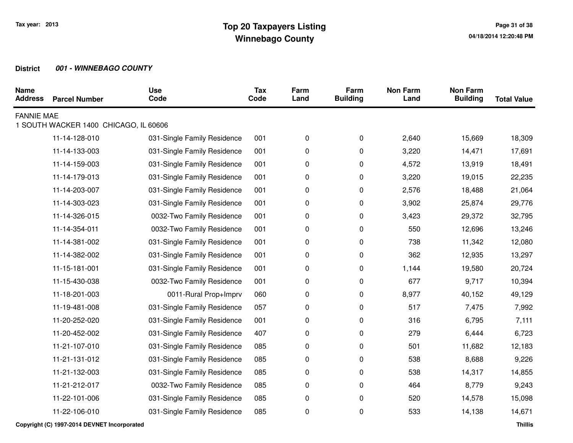| <b>Name</b><br><b>Address</b> | <b>Parcel Number</b>                  | <b>Use</b><br>Code          | <b>Tax</b><br>Code | Farm<br>Land | Farm<br><b>Building</b> | <b>Non Farm</b><br>Land | <b>Non Farm</b><br><b>Building</b> | <b>Total Value</b> |
|-------------------------------|---------------------------------------|-----------------------------|--------------------|--------------|-------------------------|-------------------------|------------------------------------|--------------------|
| <b>FANNIE MAE</b>             | 1 SOUTH WACKER 1400 CHICAGO, IL 60606 |                             |                    |              |                         |                         |                                    |                    |
|                               |                                       |                             |                    |              |                         |                         |                                    |                    |
|                               | 11-14-128-010                         | 031-Single Family Residence | 001                | 0            | $\pmb{0}$               | 2,640                   | 15,669                             | 18,309             |
|                               | 11-14-133-003                         | 031-Single Family Residence | 001                | 0            | 0                       | 3,220                   | 14,471                             | 17,691             |
|                               | 11-14-159-003                         | 031-Single Family Residence | 001                | 0            | 0                       | 4,572                   | 13,919                             | 18,491             |
|                               | 11-14-179-013                         | 031-Single Family Residence | 001                | 0            | 0                       | 3,220                   | 19,015                             | 22,235             |
|                               | 11-14-203-007                         | 031-Single Family Residence | 001                | 0            | 0                       | 2,576                   | 18,488                             | 21,064             |
|                               | 11-14-303-023                         | 031-Single Family Residence | 001                | 0            | 0                       | 3,902                   | 25,874                             | 29,776             |
|                               | 11-14-326-015                         | 0032-Two Family Residence   | 001                | 0            | 0                       | 3,423                   | 29,372                             | 32,795             |
|                               | 11-14-354-011                         | 0032-Two Family Residence   | 001                | 0            | 0                       | 550                     | 12,696                             | 13,246             |
|                               | 11-14-381-002                         | 031-Single Family Residence | 001                | 0            | 0                       | 738                     | 11,342                             | 12,080             |
|                               | 11-14-382-002                         | 031-Single Family Residence | 001                | 0            | 0                       | 362                     | 12,935                             | 13,297             |
|                               | 11-15-181-001                         | 031-Single Family Residence | 001                | 0            | 0                       | 1,144                   | 19,580                             | 20,724             |
|                               | 11-15-430-038                         | 0032-Two Family Residence   | 001                | 0            | 0                       | 677                     | 9,717                              | 10,394             |
|                               | 11-18-201-003                         | 0011-Rural Prop+Imprv       | 060                | 0            | 0                       | 8,977                   | 40,152                             | 49,129             |
|                               | 11-19-481-008                         | 031-Single Family Residence | 057                | 0            | 0                       | 517                     | 7,475                              | 7,992              |
|                               | 11-20-252-020                         | 031-Single Family Residence | 001                | 0            | 0                       | 316                     | 6,795                              | 7,111              |
|                               | 11-20-452-002                         | 031-Single Family Residence | 407                | 0            | 0                       | 279                     | 6,444                              | 6,723              |
|                               | 11-21-107-010                         | 031-Single Family Residence | 085                | 0            | 0                       | 501                     | 11,682                             | 12,183             |
|                               | 11-21-131-012                         | 031-Single Family Residence | 085                | 0            | 0                       | 538                     | 8,688                              | 9,226              |
|                               | 11-21-132-003                         | 031-Single Family Residence | 085                | 0            | 0                       | 538                     | 14,317                             | 14,855             |
|                               | 11-21-212-017                         | 0032-Two Family Residence   | 085                | 0            | 0                       | 464                     | 8,779                              | 9,243              |
|                               | 11-22-101-006                         | 031-Single Family Residence | 085                | 0            | 0                       | 520                     | 14,578                             | 15,098             |
|                               | 11-22-106-010                         | 031-Single Family Residence | 085                | 0            | 0                       | 533                     | 14,138                             | 14,671             |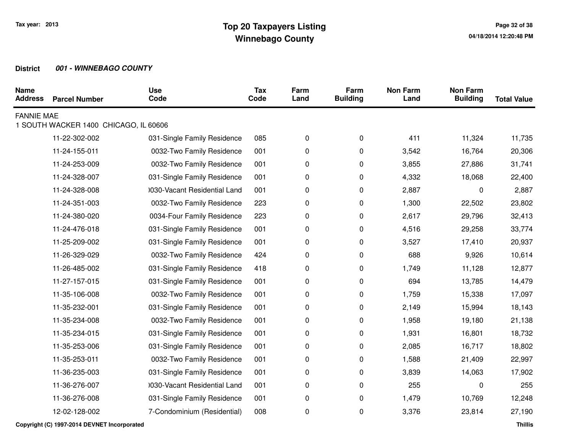| <b>Name</b><br><b>Address</b> | <b>Parcel Number</b>                  | <b>Use</b><br>Code           | <b>Tax</b><br>Code | Farm<br>Land | Farm<br><b>Building</b> | <b>Non Farm</b><br>Land | <b>Non Farm</b><br><b>Building</b> | <b>Total Value</b> |
|-------------------------------|---------------------------------------|------------------------------|--------------------|--------------|-------------------------|-------------------------|------------------------------------|--------------------|
| <b>FANNIE MAE</b>             |                                       |                              |                    |              |                         |                         |                                    |                    |
|                               | 1 SOUTH WACKER 1400 CHICAGO, IL 60606 |                              |                    |              |                         |                         |                                    |                    |
|                               | 11-22-302-002                         | 031-Single Family Residence  | 085                | 0            | 0                       | 411                     | 11,324                             | 11,735             |
|                               | 11-24-155-011                         | 0032-Two Family Residence    | 001                | 0            | 0                       | 3,542                   | 16,764                             | 20,306             |
|                               | 11-24-253-009                         | 0032-Two Family Residence    | 001                | 0            | 0                       | 3,855                   | 27,886                             | 31,741             |
|                               | 11-24-328-007                         | 031-Single Family Residence  | 001                | 0            | 0                       | 4,332                   | 18,068                             | 22,400             |
|                               | 11-24-328-008                         | 0030-Vacant Residential Land | 001                | 0            | 0                       | 2,887                   | 0                                  | 2,887              |
|                               | 11-24-351-003                         | 0032-Two Family Residence    | 223                | 0            | 0                       | 1,300                   | 22,502                             | 23,802             |
|                               | 11-24-380-020                         | 0034-Four Family Residence   | 223                | 0            | 0                       | 2,617                   | 29,796                             | 32,413             |
|                               | 11-24-476-018                         | 031-Single Family Residence  | 001                | 0            | 0                       | 4,516                   | 29,258                             | 33,774             |
|                               | 11-25-209-002                         | 031-Single Family Residence  | 001                | 0            | 0                       | 3,527                   | 17,410                             | 20,937             |
|                               | 11-26-329-029                         | 0032-Two Family Residence    | 424                | 0            | 0                       | 688                     | 9,926                              | 10,614             |
|                               | 11-26-485-002                         | 031-Single Family Residence  | 418                | 0            | 0                       | 1,749                   | 11,128                             | 12,877             |
|                               | 11-27-157-015                         | 031-Single Family Residence  | 001                | 0            | 0                       | 694                     | 13,785                             | 14,479             |
|                               | 11-35-106-008                         | 0032-Two Family Residence    | 001                | 0            | 0                       | 1,759                   | 15,338                             | 17,097             |
|                               | 11-35-232-001                         | 031-Single Family Residence  | 001                | 0            | 0                       | 2,149                   | 15,994                             | 18,143             |
|                               | 11-35-234-008                         | 0032-Two Family Residence    | 001                | 0            | 0                       | 1,958                   | 19,180                             | 21,138             |
|                               | 11-35-234-015                         | 031-Single Family Residence  | 001                | 0            | 0                       | 1,931                   | 16,801                             | 18,732             |
|                               | 11-35-253-006                         | 031-Single Family Residence  | 001                | 0            | 0                       | 2,085                   | 16,717                             | 18,802             |
|                               | 11-35-253-011                         | 0032-Two Family Residence    | 001                | 0            | 0                       | 1,588                   | 21,409                             | 22,997             |
|                               | 11-36-235-003                         | 031-Single Family Residence  | 001                | 0            | 0                       | 3,839                   | 14,063                             | 17,902             |
|                               | 11-36-276-007                         | 0030-Vacant Residential Land | 001                | 0            | 0                       | 255                     | 0                                  | 255                |
|                               | 11-36-276-008                         | 031-Single Family Residence  | 001                | 0            | 0                       | 1,479                   | 10,769                             | 12,248             |
|                               | 12-02-128-002                         | 7-Condominium (Residential)  | 008                | 0            | 0                       | 3,376                   | 23,814                             | 27,190             |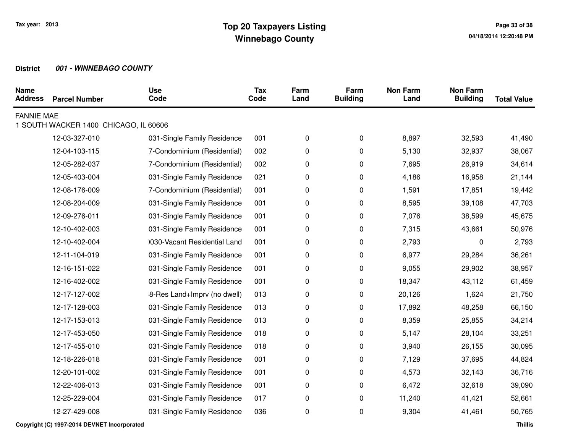| <b>Name</b><br><b>Address</b> | <b>Parcel Number</b>                  | <b>Use</b><br>Code           | <b>Tax</b><br>Code | Farm<br>Land | Farm<br><b>Building</b> | <b>Non Farm</b><br>Land | <b>Non Farm</b><br><b>Building</b> | <b>Total Value</b> |
|-------------------------------|---------------------------------------|------------------------------|--------------------|--------------|-------------------------|-------------------------|------------------------------------|--------------------|
| <b>FANNIE MAE</b>             |                                       |                              |                    |              |                         |                         |                                    |                    |
|                               | 1 SOUTH WACKER 1400 CHICAGO, IL 60606 |                              |                    |              |                         |                         |                                    |                    |
|                               | 12-03-327-010                         | 031-Single Family Residence  | 001                | 0            | 0                       | 8,897                   | 32,593                             | 41,490             |
|                               | 12-04-103-115                         | 7-Condominium (Residential)  | 002                | 0            | 0                       | 5,130                   | 32,937                             | 38,067             |
|                               | 12-05-282-037                         | 7-Condominium (Residential)  | 002                | 0            | 0                       | 7,695                   | 26,919                             | 34,614             |
|                               | 12-05-403-004                         | 031-Single Family Residence  | 021                | 0            | 0                       | 4,186                   | 16,958                             | 21,144             |
|                               | 12-08-176-009                         | 7-Condominium (Residential)  | 001                | 0            | 0                       | 1,591                   | 17,851                             | 19,442             |
|                               | 12-08-204-009                         | 031-Single Family Residence  | 001                | 0            | 0                       | 8,595                   | 39,108                             | 47,703             |
|                               | 12-09-276-011                         | 031-Single Family Residence  | 001                | 0            | 0                       | 7,076                   | 38,599                             | 45,675             |
|                               | 12-10-402-003                         | 031-Single Family Residence  | 001                | 0            | 0                       | 7,315                   | 43,661                             | 50,976             |
|                               | 12-10-402-004                         | 0030-Vacant Residential Land | 001                | 0            | 0                       | 2,793                   | 0                                  | 2,793              |
|                               | 12-11-104-019                         | 031-Single Family Residence  | 001                | 0            | 0                       | 6,977                   | 29,284                             | 36,261             |
|                               | 12-16-151-022                         | 031-Single Family Residence  | 001                | 0            | 0                       | 9,055                   | 29,902                             | 38,957             |
|                               | 12-16-402-002                         | 031-Single Family Residence  | 001                | 0            | 0                       | 18,347                  | 43,112                             | 61,459             |
|                               | 12-17-127-002                         | 8-Res Land+Imprv (no dwell)  | 013                | 0            | 0                       | 20,126                  | 1,624                              | 21,750             |
|                               | 12-17-128-003                         | 031-Single Family Residence  | 013                | 0            | 0                       | 17,892                  | 48,258                             | 66,150             |
|                               | 12-17-153-013                         | 031-Single Family Residence  | 013                | 0            | 0                       | 8,359                   | 25,855                             | 34,214             |
|                               | 12-17-453-050                         | 031-Single Family Residence  | 018                | 0            | 0                       | 5,147                   | 28,104                             | 33,251             |
|                               | 12-17-455-010                         | 031-Single Family Residence  | 018                | 0            | 0                       | 3,940                   | 26,155                             | 30,095             |
|                               | 12-18-226-018                         | 031-Single Family Residence  | 001                | 0            | 0                       | 7,129                   | 37,695                             | 44,824             |
|                               | 12-20-101-002                         | 031-Single Family Residence  | 001                | 0            | 0                       | 4,573                   | 32,143                             | 36,716             |
|                               | 12-22-406-013                         | 031-Single Family Residence  | 001                | 0            | 0                       | 6,472                   | 32,618                             | 39,090             |
|                               | 12-25-229-004                         | 031-Single Family Residence  | 017                | 0            | 0                       | 11,240                  | 41,421                             | 52,661             |
|                               | 12-27-429-008                         | 031-Single Family Residence  | 036                | 0            | 0                       | 9,304                   | 41,461                             | 50,765             |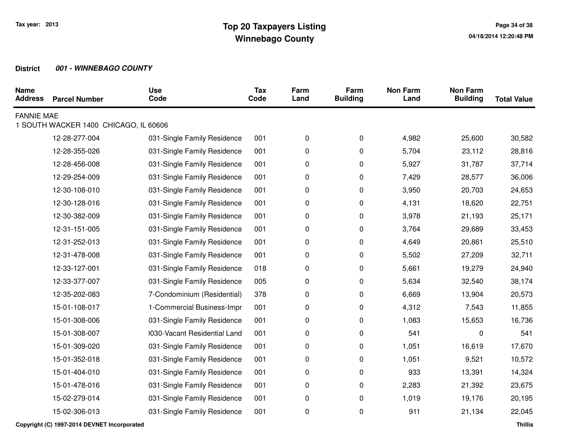| <b>Name</b><br><b>Address</b> | <b>Parcel Number</b>                  | <b>Use</b><br>Code           | <b>Tax</b><br>Code | Farm<br>Land | Farm<br><b>Building</b> | <b>Non Farm</b><br>Land | <b>Non Farm</b><br><b>Building</b> | <b>Total Value</b> |
|-------------------------------|---------------------------------------|------------------------------|--------------------|--------------|-------------------------|-------------------------|------------------------------------|--------------------|
| <b>FANNIE MAE</b>             |                                       |                              |                    |              |                         |                         |                                    |                    |
|                               | 1 SOUTH WACKER 1400 CHICAGO, IL 60606 |                              |                    |              |                         |                         |                                    |                    |
|                               | 12-28-277-004                         | 031-Single Family Residence  | 001                | 0            | 0                       | 4,982                   | 25,600                             | 30,582             |
|                               | 12-28-355-026                         | 031-Single Family Residence  | 001                | 0            | 0                       | 5,704                   | 23,112                             | 28,816             |
|                               | 12-28-456-008                         | 031-Single Family Residence  | 001                | 0            | 0                       | 5,927                   | 31,787                             | 37,714             |
|                               | 12-29-254-009                         | 031-Single Family Residence  | 001                | 0            | 0                       | 7,429                   | 28,577                             | 36,006             |
|                               | 12-30-108-010                         | 031-Single Family Residence  | 001                | 0            | 0                       | 3,950                   | 20,703                             | 24,653             |
|                               | 12-30-128-016                         | 031-Single Family Residence  | 001                | 0            | 0                       | 4,131                   | 18,620                             | 22,751             |
|                               | 12-30-382-009                         | 031-Single Family Residence  | 001                | 0            | 0                       | 3,978                   | 21,193                             | 25,171             |
|                               | 12-31-151-005                         | 031-Single Family Residence  | 001                | 0            | 0                       | 3,764                   | 29,689                             | 33,453             |
|                               | 12-31-252-013                         | 031-Single Family Residence  | 001                | 0            | 0                       | 4,649                   | 20,861                             | 25,510             |
|                               | 12-31-478-008                         | 031-Single Family Residence  | 001                | 0            | 0                       | 5,502                   | 27,209                             | 32,711             |
|                               | 12-33-127-001                         | 031-Single Family Residence  | 018                | 0            | 0                       | 5,661                   | 19,279                             | 24,940             |
|                               | 12-33-377-007                         | 031-Single Family Residence  | 005                | 0            | 0                       | 5,634                   | 32,540                             | 38,174             |
|                               | 12-35-202-083                         | 7-Condominium (Residential)  | 378                | 0            | 0                       | 6,669                   | 13,904                             | 20,573             |
|                               | 15-01-108-017                         | 1-Commercial Business-Impr   | 001                | 0            | 0                       | 4,312                   | 7,543                              | 11,855             |
|                               | 15-01-308-006                         | 031-Single Family Residence  | 001                | 0            | 0                       | 1,083                   | 15,653                             | 16,736             |
|                               | 15-01-308-007                         | 1030-Vacant Residential Land | 001                | 0            | 0                       | 541                     | 0                                  | 541                |
|                               | 15-01-309-020                         | 031-Single Family Residence  | 001                | 0            | 0                       | 1,051                   | 16,619                             | 17,670             |
|                               | 15-01-352-018                         | 031-Single Family Residence  | 001                | 0            | 0                       | 1,051                   | 9,521                              | 10,572             |
|                               | 15-01-404-010                         | 031-Single Family Residence  | 001                | 0            | 0                       | 933                     | 13,391                             | 14,324             |
|                               | 15-01-478-016                         | 031-Single Family Residence  | 001                | 0            | 0                       | 2,283                   | 21,392                             | 23,675             |
|                               | 15-02-279-014                         | 031-Single Family Residence  | 001                | 0            | 0                       | 1,019                   | 19,176                             | 20,195             |
|                               | 15-02-306-013                         | 031-Single Family Residence  | 001                | 0            | 0                       | 911                     | 21,134                             | 22,045             |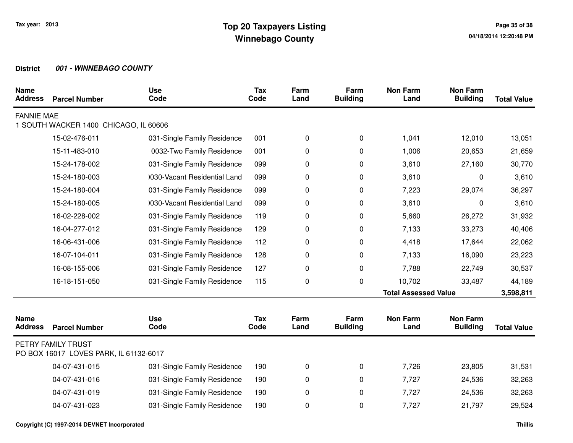| <b>Name</b><br><b>Address</b> | <b>Parcel Number</b>                                         | <b>Use</b><br>Code           | <b>Tax</b><br>Code | Farm<br>Land | Farm<br><b>Building</b> | <b>Non Farm</b><br>Land     | <b>Non Farm</b><br><b>Building</b> | <b>Total Value</b> |
|-------------------------------|--------------------------------------------------------------|------------------------------|--------------------|--------------|-------------------------|-----------------------------|------------------------------------|--------------------|
| <b>FANNIE MAE</b>             | 1 SOUTH WACKER 1400 CHICAGO, IL 60606                        |                              |                    |              |                         |                             |                                    |                    |
|                               | 15-02-476-011                                                | 031-Single Family Residence  | 001                | $\pmb{0}$    | 0                       | 1,041                       | 12,010                             | 13,051             |
|                               | 15-11-483-010                                                | 0032-Two Family Residence    | 001                | 0            | 0                       | 1,006                       | 20,653                             | 21,659             |
|                               | 15-24-178-002                                                | 031-Single Family Residence  | 099                | 0            | 0                       | 3,610                       | 27,160                             | 30,770             |
|                               | 15-24-180-003                                                | 0030-Vacant Residential Land | 099                | 0            | 0                       | 3,610                       | 0                                  | 3,610              |
|                               | 15-24-180-004                                                | 031-Single Family Residence  | 099                | $\pmb{0}$    | 0                       | 7,223                       | 29,074                             | 36,297             |
|                               | 15-24-180-005                                                | 0030-Vacant Residential Land | 099                | $\pmb{0}$    | 0                       | 3,610                       | 0                                  | 3,610              |
|                               | 16-02-228-002                                                | 031-Single Family Residence  | 119                | $\pmb{0}$    | 0                       | 5,660                       | 26,272                             | 31,932             |
|                               | 16-04-277-012                                                | 031-Single Family Residence  | 129                | 0            | 0                       | 7,133                       | 33,273                             | 40,406             |
|                               | 16-06-431-006                                                | 031-Single Family Residence  | 112                | $\pmb{0}$    | 0                       | 4,418                       | 17,644                             | 22,062             |
|                               | 16-07-104-011                                                | 031-Single Family Residence  | 128                | 0            | 0                       | 7,133                       | 16,090                             | 23,223             |
|                               | 16-08-155-006                                                | 031-Single Family Residence  | 127                | $\pmb{0}$    | $\mathbf 0$             | 7,788                       | 22,749                             | 30,537             |
|                               | 16-18-151-050                                                | 031-Single Family Residence  | 115                | $\pmb{0}$    | $\mathbf 0$             | 10,702                      | 33,487                             | 44,189             |
|                               |                                                              |                              |                    |              |                         | <b>Total Assessed Value</b> |                                    | 3,598,811          |
| <b>Name</b><br><b>Address</b> | <b>Parcel Number</b>                                         | <b>Use</b><br>Code           | <b>Tax</b><br>Code | Farm<br>Land | Farm<br><b>Building</b> | <b>Non Farm</b><br>Land     | <b>Non Farm</b><br><b>Building</b> | <b>Total Value</b> |
|                               | PETRY FAMILY TRUST<br>PO BOX 16017 LOVES PARK, IL 61132-6017 |                              |                    |              |                         |                             |                                    |                    |
|                               | 04-07-431-015                                                | 031-Single Family Residence  | 190                | 0            | 0                       | 7,726                       | 23,805                             | 31,531             |
|                               | 04-07-431-016                                                | 031-Single Family Residence  | 190                | $\pmb{0}$    | 0                       | 7,727                       | 24,536                             | 32,263             |
|                               | 04-07-431-019                                                | 031-Single Family Residence  | 190                | $\pmb{0}$    | 0                       | 7,727                       | 24,536                             | 32,263             |
|                               | 04-07-431-023                                                | 031-Single Family Residence  | 190                | $\pmb{0}$    | 0                       | 7,727                       | 21,797                             | 29,524             |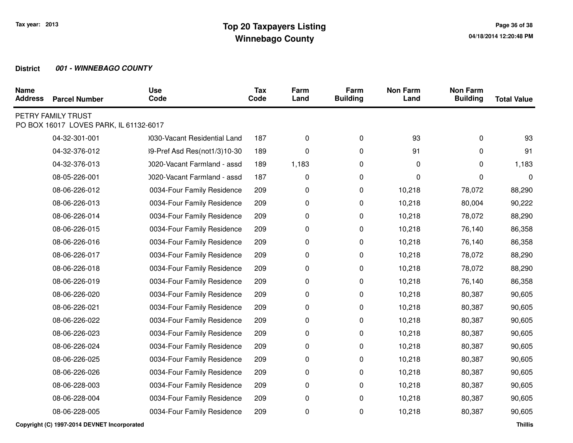| <b>Name</b><br><b>Address</b> | <b>Parcel Number</b>                                         | <b>Use</b><br>Code           | <b>Tax</b><br>Code | Farm<br>Land | Farm<br><b>Building</b> | <b>Non Farm</b><br>Land | <b>Non Farm</b><br><b>Building</b> | <b>Total Value</b> |
|-------------------------------|--------------------------------------------------------------|------------------------------|--------------------|--------------|-------------------------|-------------------------|------------------------------------|--------------------|
|                               | PETRY FAMILY TRUST<br>PO BOX 16017 LOVES PARK, IL 61132-6017 |                              |                    |              |                         |                         |                                    |                    |
|                               | 04-32-301-001                                                | 0030-Vacant Residential Land | 187                | 0            | 0                       | 93                      | 0                                  | 93                 |
|                               | 04-32-376-012                                                | 39-Pref Asd Res(not1/3)10-30 | 189                | 0            | 0                       | 91                      | 0                                  | 91                 |
|                               | 04-32-376-013                                                | 0020-Vacant Farmland - assd  | 189                | 1,183        | 0                       | 0                       | 0                                  | 1,183              |
|                               | 08-05-226-001                                                | 0020-Vacant Farmland - assd  | 187                |              |                         | 0                       | 0                                  | $\mathbf{0}$       |
|                               |                                                              |                              |                    | 0            | 0                       |                         |                                    |                    |
|                               | 08-06-226-012                                                | 0034-Four Family Residence   | 209                | 0            | 0                       | 10,218                  | 78,072                             | 88,290             |
|                               | 08-06-226-013                                                | 0034-Four Family Residence   | 209                | 0            | 0                       | 10,218                  | 80,004                             | 90,222             |
|                               | 08-06-226-014                                                | 0034-Four Family Residence   | 209                | 0            | 0                       | 10,218                  | 78,072                             | 88,290             |
|                               | 08-06-226-015                                                | 0034-Four Family Residence   | 209                | 0            | 0                       | 10,218                  | 76,140                             | 86,358             |
|                               | 08-06-226-016                                                | 0034-Four Family Residence   | 209                | 0            | 0                       | 10,218                  | 76,140                             | 86,358             |
|                               | 08-06-226-017                                                | 0034-Four Family Residence   | 209                | 0            | 0                       | 10,218                  | 78,072                             | 88,290             |
|                               | 08-06-226-018                                                | 0034-Four Family Residence   | 209                | 0            | 0                       | 10,218                  | 78,072                             | 88,290             |
|                               | 08-06-226-019                                                | 0034-Four Family Residence   | 209                | 0            | 0                       | 10,218                  | 76,140                             | 86,358             |
|                               | 08-06-226-020                                                | 0034-Four Family Residence   | 209                | 0            | 0                       | 10,218                  | 80,387                             | 90,605             |
|                               | 08-06-226-021                                                | 0034-Four Family Residence   | 209                | 0            | 0                       | 10,218                  | 80,387                             | 90,605             |
|                               | 08-06-226-022                                                | 0034-Four Family Residence   | 209                | 0            | 0                       | 10,218                  | 80,387                             | 90,605             |
|                               | 08-06-226-023                                                | 0034-Four Family Residence   | 209                | 0            | 0                       | 10,218                  | 80,387                             | 90,605             |
|                               | 08-06-226-024                                                | 0034-Four Family Residence   | 209                | 0            | 0                       | 10,218                  | 80,387                             | 90,605             |
|                               | 08-06-226-025                                                | 0034-Four Family Residence   | 209                | 0            | 0                       | 10,218                  | 80,387                             | 90,605             |
|                               | 08-06-226-026                                                | 0034-Four Family Residence   | 209                | 0            | 0                       | 10,218                  | 80,387                             | 90,605             |
|                               | 08-06-228-003                                                |                              |                    |              |                         | 10,218                  |                                    |                    |
|                               |                                                              | 0034-Four Family Residence   | 209                | 0            | 0                       |                         | 80,387                             | 90,605             |
|                               | 08-06-228-004                                                | 0034-Four Family Residence   | 209                | 0            | 0                       | 10,218                  | 80,387                             | 90,605             |
|                               | 08-06-228-005                                                | 0034-Four Family Residence   | 209                | 0            | 0                       | 10,218                  | 80,387                             | 90,605             |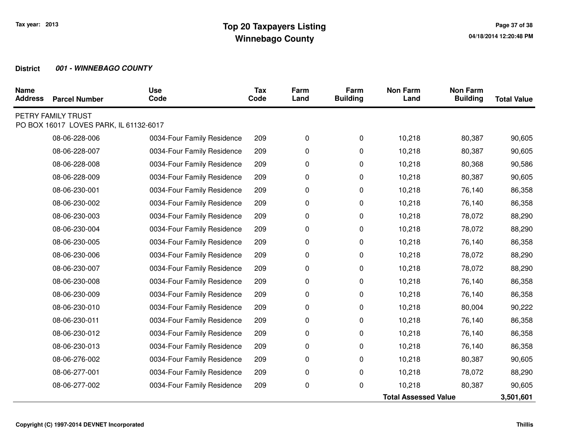| <b>Name</b><br><b>Address</b> | <b>Parcel Number</b>                                         | <b>Use</b><br>Code         | <b>Tax</b><br>Code | Farm<br>Land | Farm<br><b>Building</b> | <b>Non Farm</b><br>Land     | <b>Non Farm</b><br><b>Building</b> | <b>Total Value</b> |
|-------------------------------|--------------------------------------------------------------|----------------------------|--------------------|--------------|-------------------------|-----------------------------|------------------------------------|--------------------|
|                               | PETRY FAMILY TRUST<br>PO BOX 16017 LOVES PARK, IL 61132-6017 |                            |                    |              |                         |                             |                                    |                    |
|                               | 08-06-228-006                                                | 0034-Four Family Residence | 209                | 0            | 0                       | 10,218                      | 80,387                             | 90,605             |
|                               | 08-06-228-007                                                | 0034-Four Family Residence | 209                | 0            | 0                       | 10,218                      | 80,387                             | 90,605             |
|                               | 08-06-228-008                                                | 0034-Four Family Residence | 209                | 0            | 0                       | 10,218                      | 80,368                             | 90,586             |
|                               | 08-06-228-009                                                | 0034-Four Family Residence | 209                | 0            | 0                       | 10,218                      | 80,387                             | 90,605             |
|                               | 08-06-230-001                                                | 0034-Four Family Residence | 209                | 0            | 0                       | 10,218                      | 76,140                             | 86,358             |
|                               | 08-06-230-002                                                | 0034-Four Family Residence | 209                | 0            | 0                       | 10,218                      | 76,140                             | 86,358             |
|                               | 08-06-230-003                                                | 0034-Four Family Residence | 209                | 0            | 0                       | 10,218                      | 78,072                             | 88,290             |
|                               | 08-06-230-004                                                | 0034-Four Family Residence | 209                | 0            | 0                       | 10,218                      | 78,072                             | 88,290             |
|                               | 08-06-230-005                                                | 0034-Four Family Residence | 209                | 0            | 0                       | 10,218                      | 76,140                             | 86,358             |
|                               | 08-06-230-006                                                | 0034-Four Family Residence | 209                | 0            | 0                       | 10,218                      | 78,072                             | 88,290             |
|                               | 08-06-230-007                                                | 0034-Four Family Residence | 209                | 0            | 0                       | 10,218                      | 78,072                             | 88,290             |
|                               | 08-06-230-008                                                | 0034-Four Family Residence | 209                | 0            | 0                       | 10,218                      | 76,140                             | 86,358             |
|                               | 08-06-230-009                                                | 0034-Four Family Residence | 209                | 0            | 0                       | 10,218                      | 76,140                             | 86,358             |
|                               | 08-06-230-010                                                | 0034-Four Family Residence | 209                | 0            | 0                       | 10,218                      | 80,004                             | 90,222             |
|                               | 08-06-230-011                                                | 0034-Four Family Residence | 209                | 0            | 0                       | 10,218                      | 76,140                             | 86,358             |
|                               | 08-06-230-012                                                | 0034-Four Family Residence | 209                | 0            | 0                       | 10,218                      | 76,140                             | 86,358             |
|                               | 08-06-230-013                                                | 0034-Four Family Residence | 209                | 0            | 0                       | 10,218                      | 76,140                             | 86,358             |
|                               | 08-06-276-002                                                | 0034-Four Family Residence | 209                | 0            | 0                       | 10,218                      | 80,387                             | 90,605             |
|                               | 08-06-277-001                                                | 0034-Four Family Residence | 209                | 0            | 0                       | 10,218                      | 78,072                             | 88,290             |
|                               | 08-06-277-002                                                | 0034-Four Family Residence | 209                | 0            | 0                       | 10,218                      | 80,387                             | 90,605             |
|                               |                                                              |                            |                    |              |                         | <b>Total Assessed Value</b> | 3,501,601                          |                    |